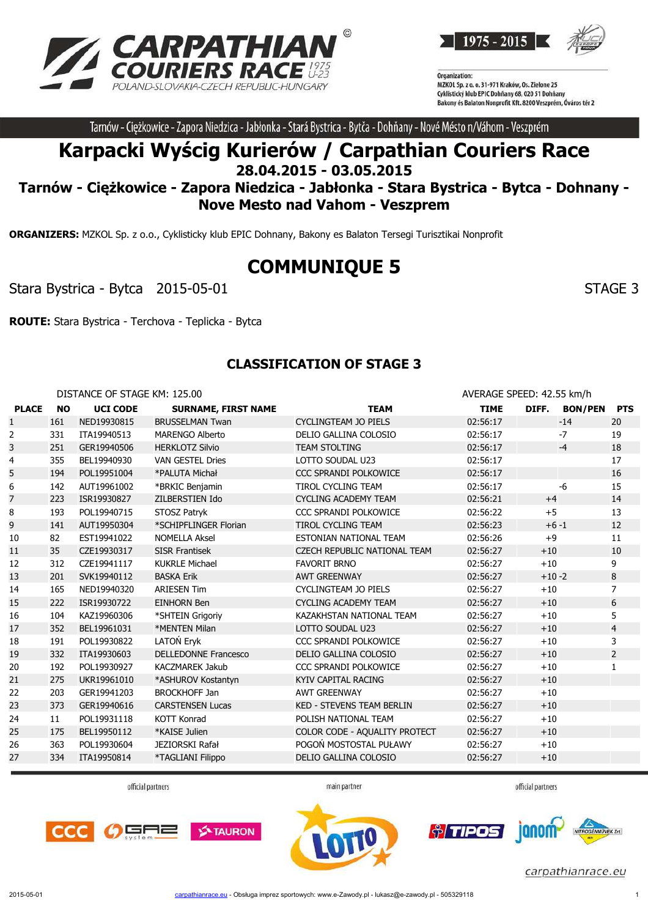



Tarnów - Ciężkowice - Zapora Niedzica - Jabłonka - Stará Bystrica - Bytča - Dohňany - Nové Mésto n/Váhom - Veszprém

# **Karpacki Wyścig Kurierów / Carpathian Couriers Race 28.04.2015 - 03.05.2015**

## **Tarnów - Ciężkowice - Zapora Niedzica - Jabłonka - Stara Bystrica - Bytca - Dohnany - Nove Mesto nad Vahom - Veszprem**

**ORGANIZERS:** MZKOL Sp. z o.o., Cyklisticky klub EPIC Dohnany, Bakony es Balaton Tersegi Turisztikai Nonprofit

# **COMMUNIQUE 5**

Stara Bystrica - Bytca 2015-05-01 Stara 3 and Stara Bystrica - Stara 3

**ROUTE:** Stara Bystrica - Terchova - Teplicka - Bytca

### **CLASSIFICATION OF STAGE 3**

DISTANCE OF STAGE KM: 125.00 **AVERAGE SPEED: 42.55 km/h PLACE NO UCI CODE SURNAME, FIRST NAME TEAM TIME DIFF. BON/PEN PTS** 1 161 NED19930815 BRUSSELMAN Twan CYCLINGTEAM JO PIELS 02:56:17 -14 20 2 331 ITA19940513 MARENGO Alberto DELIO GALLINA COLOSIO 02:56:17 -7 19 3 251 GER19940506 HERKLOTZ Silvio TEAM STOLTING 02:56:17 18 4 355 BEL19940930 VAN GESTEL Dries LOTTO SOUDAL U23 02:56:17 17 5 194 POL19951004 \*PALUTA Michał CCC SPRANDI POLKOWICE 02:56:17 16 16 6 142 AUT19961002 \*BRKIC Benjamin TIROL CYCLING TEAM 02:56:17 -6 15 7 223 ISR19930827 ZILBERSTIEN Ido CYCLING ACADEMY TEAM 02:56:21 +4 14 8 193 POL19940715 STOSZ Patryk CCC SPRANDI POLKOWICE 02:56:22 +5 13 9 141 AUT19950304 \*SCHIPFLINGER Florian TIROL CYCLING TEAM 02:56:23 +6 -1 12 10 82 EST19941022 NOMELLA Aksel ESTONIAN NATIONAL TEAM 02:56:26 +9 11 11 35 CZE19930317 SISR Frantisek CZECH REPUBLIC NATIONAL TEAM 02:56:27 +10 10 12 312 CZE19941117 KUKRLE Michael FAVORIT BRNO 02:56:27 +10 9 13 201 SVK19940112 BASKA Erik AWT GREENWAY 02:56:27 +10 -2 8 14 165 NED19940320 ARIESEN Tim CYCLINGTEAM JO PIELS 02:56:27 +10 7 15 222 ISR19930722 EINHORN Ben CYCLING ACADEMY TEAM 02:56:27 +10 6 16 104 KAZ19960306 \*SHTEIN Grigoriy KAZAKHSTAN NATIONAL TEAM 02:56:27 +10 5 17 352 BEL19961031 \*MENTEN Milan LOTTO SOUDAL U23 02:56:27 +10 4 18 191 POL19930822 LATOŃ Eryk CCC SPRANDI POLKOWICE 02:56:27 +10 3 19 332 ITA19930603 DELLEDONNE Francesco DELIO GALLINA COLOSIO 02:56:27 +10 2 20 192 POL19930927 KACZMAREK Jakub CCC SPRANDI POLKOWICE 02:56:27 +10 1 21 275 UKR19961010 \*ASHUROV Kostantyn KYIV CAPITAL RACING 02:56:27 +10 22 203 GER19941203 BROCKHOFF Jan AWT GREENWAY 02:56:27 +10 23 373 GER19940616 CARSTENSEN Lucas KED - STEVENS TEAM BERLIN 02:56:27 +10 24 11 POL19931118 KOTT Konrad POLISH NATIONAL TEAM 02:56:27 +10 25 175 BEL19950112 \*KAISE Julien COLOR CODE - AQUALITY PROTECT 02:56:27 +10 26 363 POL19930604 JEZIORSKI Rafał POGOŃ MOSTOSTAL PUŁAWY 02:56:27 +10 27 334 ITA19950814 \*TAGLIANI Filippo DELIO GALLINA COLOSIO 02:56:27 +10

official partners

main partner

official partners





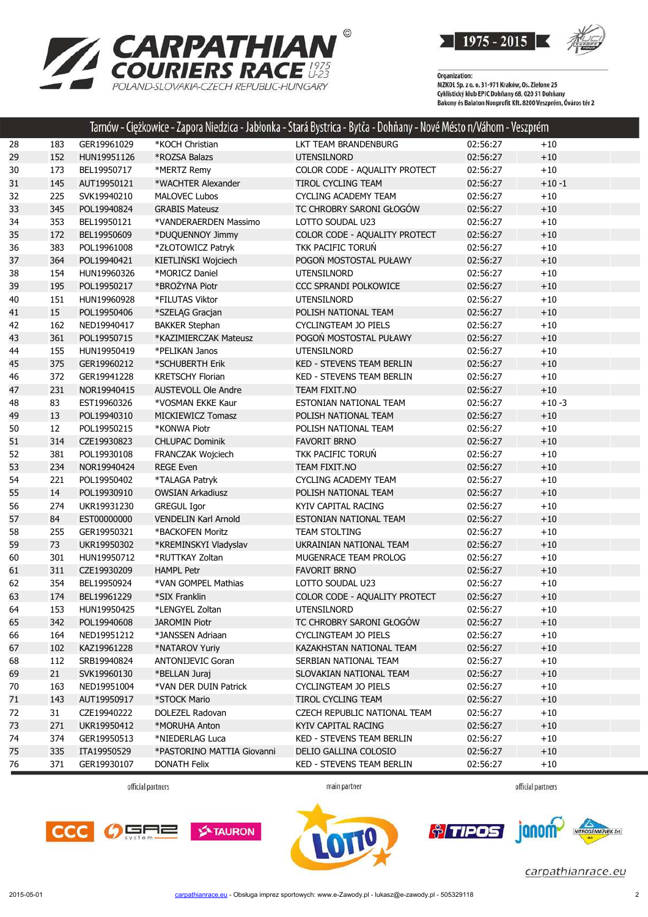



|    |     |             |                             | Tarnów - Ciężkowice - Zapora Niedzica - Jabłonka - Stará Bystrica - Bytća - Dohňany - Nové Mésto n/Váhom - Veszprém |          |          |
|----|-----|-------------|-----------------------------|---------------------------------------------------------------------------------------------------------------------|----------|----------|
| 28 | 183 | GER19961029 | *KOCH Christian             | LKT TEAM BRANDENBURG                                                                                                | 02:56:27 | $+10$    |
| 29 | 152 | HUN19951126 | *ROZSA Balazs               | <b>UTENSILNORD</b>                                                                                                  | 02:56:27 | $+10$    |
| 30 | 173 | BEL19950717 | *MERTZ Remy                 | COLOR CODE - AQUALITY PROTECT                                                                                       | 02:56:27 | $+10$    |
| 31 | 145 | AUT19950121 | *WACHTER Alexander          | TIROL CYCLING TEAM                                                                                                  | 02:56:27 | $+10 -1$ |
| 32 | 225 | SVK19940210 | <b>MALOVEC Lubos</b>        | <b>CYCLING ACADEMY TEAM</b>                                                                                         | 02:56:27 | $+10$    |
| 33 | 345 | POL19940824 | <b>GRABIS Mateusz</b>       | TC CHROBRY SARONI GŁOGÓW                                                                                            | 02:56:27 | $+10$    |
| 34 | 353 | BEL19950121 | *VANDERAERDEN Massimo       | LOTTO SOUDAL U23                                                                                                    | 02:56:27 | $+10$    |
| 35 | 172 | BEL19950609 | *DUQUENNOY Jimmy            | COLOR CODE - AQUALITY PROTECT                                                                                       | 02:56:27 | $+10$    |
| 36 | 383 | POL19961008 | *ZŁOTOWICZ Patryk           | TKK PACIFIC TORUŃ                                                                                                   | 02:56:27 | $+10$    |
| 37 | 364 | POL19940421 | KIETLIŃSKI Wojciech         | POGOŃ MOSTOSTAL PUŁAWY                                                                                              | 02:56:27 | $+10$    |
| 38 | 154 | HUN19960326 | *MORICZ Daniel              | UTENSILNORD                                                                                                         | 02:56:27 | $+10$    |
| 39 | 195 | POL19950217 | *BROŻYNA Piotr              | CCC SPRANDI POLKOWICE                                                                                               | 02:56:27 | $+10$    |
| 40 | 151 | HUN19960928 | *FILUTAS Viktor             | UTENSILNORD                                                                                                         | 02:56:27 | $+10$    |
| 41 | 15  | POL19950406 | *SZELĄG Gracjan             | POLISH NATIONAL TEAM                                                                                                | 02:56:27 | $+10$    |
| 42 | 162 | NED19940417 | <b>BAKKER Stephan</b>       | CYCLINGTEAM JO PIELS                                                                                                | 02:56:27 | $+10$    |
| 43 | 361 | POL19950715 | *KAZIMIERCZAK Mateusz       | POGOŃ MOSTOSTAL PUŁAWY                                                                                              | 02:56:27 | $+10$    |
| 44 | 155 | HUN19950419 | *PELIKAN Janos              | UTENSILNORD                                                                                                         | 02:56:27 | $+10$    |
| 45 | 375 | GER19960212 | *SCHUBERTH Erik             | <b>KED - STEVENS TEAM BERLIN</b>                                                                                    | 02:56:27 | $+10$    |
| 46 | 372 | GER19941228 | <b>KRETSCHY Florian</b>     | KED - STEVENS TEAM BERLIN                                                                                           | 02:56:27 | $+10$    |
| 47 | 231 | NOR19940415 | <b>AUSTEVOLL Ole Andre</b>  | TEAM FIXIT.NO                                                                                                       | 02:56:27 | $+10$    |
| 48 | 83  | EST19960326 | *VOSMAN EKKE Kaur           | ESTONIAN NATIONAL TEAM                                                                                              | 02:56:27 | $+10-3$  |
| 49 | 13  | POL19940310 | MICKIEWICZ Tomasz           | POLISH NATIONAL TEAM                                                                                                | 02:56:27 | $+10$    |
| 50 | 12  | POL19950215 | *KONWA Piotr                | POLISH NATIONAL TEAM                                                                                                | 02:56:27 | $+10$    |
| 51 | 314 | CZE19930823 | <b>CHLUPAC Dominik</b>      | <b>FAVORIT BRNO</b>                                                                                                 | 02:56:27 | $+10$    |
| 52 | 381 | POL19930108 | FRANCZAK Wojciech           | TKK PACIFIC TORUŃ                                                                                                   | 02:56:27 | $+10$    |
| 53 | 234 | NOR19940424 | <b>REGE Even</b>            | TEAM FIXIT.NO                                                                                                       | 02:56:27 | $+10$    |
| 54 | 221 | POL19950402 | *TALAGA Patryk              | <b>CYCLING ACADEMY TEAM</b>                                                                                         | 02:56:27 | $+10$    |
| 55 | 14  | POL19930910 | <b>OWSIAN Arkadiusz</b>     | POLISH NATIONAL TEAM                                                                                                | 02:56:27 | $+10$    |
| 56 | 274 | UKR19931230 | <b>GREGUL Igor</b>          | KYIV CAPITAL RACING                                                                                                 | 02:56:27 | $+10$    |
| 57 | 84  | EST00000000 | <b>VENDELIN Karl Arnold</b> | ESTONIAN NATIONAL TEAM                                                                                              | 02:56:27 | $+10$    |
| 58 | 255 | GER19950321 | *BACKOFEN Moritz            | <b>TEAM STOLTING</b>                                                                                                | 02:56:27 | $+10$    |
| 59 | 73  | UKR19950302 | *KREMINSKYI Vladyslav       | UKRAINIAN NATIONAL TEAM                                                                                             | 02:56:27 | $+10$    |
| 60 | 301 | HUN19950712 | *RUTTKAY Zoltan             | MUGENRACE TEAM PROLOG                                                                                               | 02:56:27 | $+10$    |
| 61 | 311 | CZE19930209 | <b>HAMPL Petr</b>           | <b>FAVORIT BRNO</b>                                                                                                 | 02:56:27 | $+10$    |
| 62 | 354 | BEL19950924 | *VAN GOMPEL Mathias         | LOTTO SOUDAL U23                                                                                                    | 02:56:27 | $+10$    |
| 63 | 174 | BEL19961229 | *SIX Franklin               | COLOR CODE - AQUALITY PROTECT                                                                                       | 02:56:27 | $+10$    |
| 64 | 153 | HUN19950425 | *LENGYEL Zoltan             | <b>UTENSILNORD</b>                                                                                                  | 02:56:27 | $+10$    |
| 65 | 342 | POL19940608 | <b>JAROMIN Piotr</b>        | TC CHROBRY SARONI GŁOGÓW                                                                                            | 02:56:27 | $+10$    |
| 66 | 164 | NED19951212 | *JANSSEN Adriaan            | CYCLINGTEAM JO PIELS                                                                                                | 02:56:27 | $+10$    |
| 67 | 102 | KAZ19961228 | *NATAROV Yuriy              | KAZAKHSTAN NATIONAL TEAM                                                                                            | 02:56:27 | $+10$    |
| 68 | 112 | SRB19940824 | <b>ANTONIJEVIC Goran</b>    | SERBIAN NATIONAL TEAM                                                                                               | 02:56:27 | $+10$    |
| 69 | 21  | SVK19960130 | *BELLAN Juraj               | SLOVAKIAN NATIONAL TEAM                                                                                             | 02:56:27 | $+10$    |
| 70 | 163 | NED19951004 | *VAN DER DUIN Patrick       | CYCLINGTEAM JO PIELS                                                                                                | 02:56:27 | $+10$    |
| 71 | 143 | AUT19950917 | *STOCK Mario                | TIROL CYCLING TEAM                                                                                                  | 02:56:27 | $+10$    |
| 72 | 31  | CZE19940222 | DOLEZEL Radovan             | CZECH REPUBLIC NATIONAL TEAM                                                                                        | 02:56:27 | $+10$    |
| 73 | 271 | UKR19950412 | *MORUHA Anton               | KYIV CAPITAL RACING                                                                                                 | 02:56:27 | $+10$    |
| 74 | 374 | GER19950513 | *NIEDERLAG Luca             | KED - STEVENS TEAM BERLIN                                                                                           | 02:56:27 | $+10$    |
| 75 | 335 | ITA19950529 | *PASTORINO MATTIA Giovanni  | DELIO GALLINA COLOSIO                                                                                               | 02:56:27 | $+10$    |
| 76 | 371 | GER19930107 | <b>DONATH Felix</b>         | KED - STEVENS TEAM BERLIN                                                                                           | 02:56:27 | $+10$    |
|    |     |             |                             |                                                                                                                     |          |          |

official partners

main partner

official partners

janom-

*<u>oliminal</u>* 





carpathianrace.eu

 $\overline{2n}$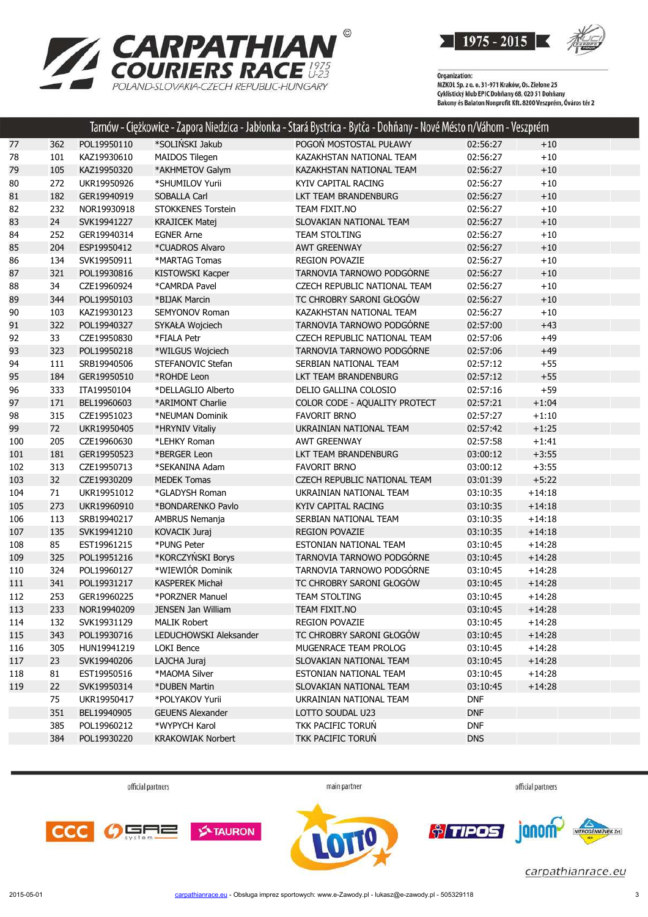

POLAND-SLOVAKIA-CZECH REPUBLIC-HUNGARY



Organization:<br>MZKOL Sp. z o. o. 31-971 Kraków, Os. Zielone 25 Cyklistický klub EPIC Dohňany 68, 020 51 Dohňany<br>Cyklistický klub EPIC Dohňany 68, 020 51 Dohňany<br>Bakony és Balaton Nonprofit Kft. 8200 Veszprém, Óváros tér 2

|     |     |             |                          | Tarnów - Ciężkowice - Zapora Niedzica - Jabłonka - Stará Bystrica - Bytča - Dohňany - Nové Mésto n/Váhom - Veszprém |            |          |
|-----|-----|-------------|--------------------------|---------------------------------------------------------------------------------------------------------------------|------------|----------|
| 77  | 362 | POL19950110 | *SOLIŃSKI Jakub          | POGOŃ MOSTOSTAL PUŁAWY                                                                                              | 02:56:27   | $+10$    |
| 78  | 101 | KAZ19930610 | MAIDOS Tilegen           | KAZAKHSTAN NATIONAL TEAM                                                                                            | 02:56:27   | $+10$    |
| 79  | 105 | KAZ19950320 | *AKHMETOV Galym          | KAZAKHSTAN NATIONAL TEAM                                                                                            | 02:56:27   | $+10$    |
| 80  | 272 | UKR19950926 | *SHUMILOV Yurii          | KYIV CAPITAL RACING                                                                                                 | 02:56:27   | $+10$    |
| 81  | 182 | GER19940919 | SOBALLA Carl             | LKT TEAM BRANDENBURG                                                                                                | 02:56:27   | $+10$    |
| 82  | 232 | NOR19930918 | STOKKENES Torstein       | TEAM FIXIT.NO                                                                                                       | 02:56:27   | $+10$    |
| 83  | 24  | SVK19941227 | <b>KRAJICEK Matej</b>    | SLOVAKIAN NATIONAL TEAM                                                                                             | 02:56:27   | $+10$    |
| 84  | 252 | GER19940314 | <b>EGNER Arne</b>        | TEAM STOLTING                                                                                                       | 02:56:27   | $+10$    |
| 85  | 204 | ESP19950412 | *CUADROS Alvaro          | <b>AWT GREENWAY</b>                                                                                                 | 02:56:27   | $+10$    |
| 86  | 134 | SVK19950911 | *MARTAG Tomas            | <b>REGION POVAZIE</b>                                                                                               | 02:56:27   | $+10$    |
| 87  | 321 | POL19930816 | KISTOWSKI Kacper         | TARNOVIA TARNOWO PODGÓRNE                                                                                           | 02:56:27   | $+10$    |
| 88  | 34  | CZE19960924 | *CAMRDA Pavel            | CZECH REPUBLIC NATIONAL TEAM                                                                                        | 02:56:27   | $+10$    |
| 89  | 344 | POL19950103 | *BIJAK Marcin            | TC CHROBRY SARONI GŁOGÓW                                                                                            | 02:56:27   | $+10$    |
| 90  | 103 | KAZ19930123 | SEMYONOV Roman           | KAZAKHSTAN NATIONAL TEAM                                                                                            | 02:56:27   | $+10$    |
| 91  | 322 | POL19940327 | SYKAŁA Wojciech          | TARNOVIA TARNOWO PODGÓRNE                                                                                           | 02:57:00   | $+43$    |
| 92  | 33  | CZE19950830 | *FIALA Petr              | CZECH REPUBLIC NATIONAL TEAM                                                                                        | 02:57:06   | $+49$    |
| 93  | 323 | POL19950218 | *WILGUS Wojciech         | TARNOVIA TARNOWO PODGÓRNE                                                                                           | 02:57:06   | $+49$    |
| 94  | 111 | SRB19940506 | STEFANOVIC Stefan        | SERBIAN NATIONAL TEAM                                                                                               | 02:57:12   | $+55$    |
| 95  | 184 | GER19950510 | *ROHDE Leon              | LKT TEAM BRANDENBURG                                                                                                | 02:57:12   | $+55$    |
| 96  | 333 | ITA19950104 | *DELLAGLIO Alberto       | DELIO GALLINA COLOSIO                                                                                               | 02:57:16   | $+59$    |
| 97  | 171 | BEL19960603 | *ARIMONT Charlie         | COLOR CODE - AQUALITY PROTECT                                                                                       | 02:57:21   | $+1:04$  |
| 98  | 315 | CZE19951023 | *NEUMAN Dominik          | <b>FAVORIT BRNO</b>                                                                                                 | 02:57:27   | $+1:10$  |
| 99  | 72  | UKR19950405 | *HRYNIV Vitaliy          | UKRAINIAN NATIONAL TEAM                                                                                             | 02:57:42   | $+1:25$  |
| 100 | 205 | CZE19960630 | *LEHKY Roman             | <b>AWT GREENWAY</b>                                                                                                 | 02:57:58   | $+1:41$  |
| 101 | 181 | GER19950523 | *BERGER Leon             | LKT TEAM BRANDENBURG                                                                                                | 03:00:12   | $+3:55$  |
| 102 | 313 | CZE19950713 | *SEKANINA Adam           | <b>FAVORIT BRNO</b>                                                                                                 | 03:00:12   | $+3:55$  |
| 103 | 32  | CZE19930209 | <b>MEDEK Tomas</b>       | CZECH REPUBLIC NATIONAL TEAM                                                                                        | 03:01:39   | $+5:22$  |
| 104 | 71  | UKR19951012 | *GLADYSH Roman           | UKRAINIAN NATIONAL TEAM                                                                                             | 03:10:35   | $+14:18$ |
| 105 | 273 | UKR19960910 | *BONDARENKO Pavlo        | <b>KYIV CAPITAL RACING</b>                                                                                          | 03:10:35   | $+14:18$ |
| 106 | 113 | SRB19940217 | AMBRUS Nemanja           | SERBIAN NATIONAL TEAM                                                                                               | 03:10:35   | $+14:18$ |
| 107 | 135 | SVK19941210 | KOVACIK Juraj            | <b>REGION POVAZIE</b>                                                                                               | 03:10:35   | $+14:18$ |
| 108 | 85  | EST19961215 | *PUNG Peter              | ESTONIAN NATIONAL TEAM                                                                                              | 03:10:45   | $+14:28$ |
| 109 | 325 | POL19951216 | *KORCZYŃSKI Borys        | TARNOVIA TARNOWO PODGÓRNE                                                                                           | 03:10:45   | $+14:28$ |
| 110 | 324 | POL19960127 | *WIEWIÓR Dominik         | TARNOVIA TARNOWO PODGÓRNE                                                                                           | 03:10:45   | $+14:28$ |
| 111 | 341 | POL19931217 | KASPEREK Michał          | TC CHROBRY SARONI GŁOGÓW                                                                                            | 03:10:45   | $+14:28$ |
| 112 | 253 | GER19960225 | *PORZNER Manuel          | <b>TEAM STOLTING</b>                                                                                                | 03:10:45   | $+14:28$ |
| 113 | 233 | NOR19940209 | JENSEN Jan William       | TEAM FIXIT.NO                                                                                                       | 03:10:45   | $+14:28$ |
| 114 | 132 | SVK19931129 | MALIK Robert             | <b>REGION POVAZIE</b>                                                                                               | 03:10:45   | $+14:28$ |
| 115 | 343 | POL19930716 | LEDUCHOWSKI Aleksander   | TC CHROBRY SARONI GŁOGÓW                                                                                            | 03:10:45   | $+14:28$ |
| 116 | 305 | HUN19941219 | LOKI Bence               | MUGENRACE TEAM PROLOG                                                                                               | 03:10:45   | $+14:28$ |
| 117 | 23  | SVK19940206 | LAJCHA Juraj             | SLOVAKIAN NATIONAL TEAM                                                                                             | 03:10:45   | $+14:28$ |
| 118 | 81  | EST19950516 | *MAOMA Silver            | ESTONIAN NATIONAL TEAM                                                                                              | 03:10:45   | $+14:28$ |
| 119 | 22  | SVK19950314 | *DUBEN Martin            | SLOVAKIAN NATIONAL TEAM                                                                                             | 03:10:45   | $+14:28$ |
|     | 75  | UKR19950417 | *POLYAKOV Yurii          | UKRAINIAN NATIONAL TEAM                                                                                             | <b>DNF</b> |          |
|     | 351 | BEL19940905 | <b>GEUENS Alexander</b>  | LOTTO SOUDAL U23                                                                                                    | <b>DNF</b> |          |
|     | 385 | POL19960212 | *WYPYCH Karol            | TKK PACIFIC TORUN                                                                                                   | <b>DNF</b> |          |
|     | 384 | POL19930220 | <b>KRAKOWIAK Norbert</b> | TKK PACIFIC TORUN                                                                                                   | <b>DNS</b> |          |
|     |     |             |                          |                                                                                                                     |            |          |

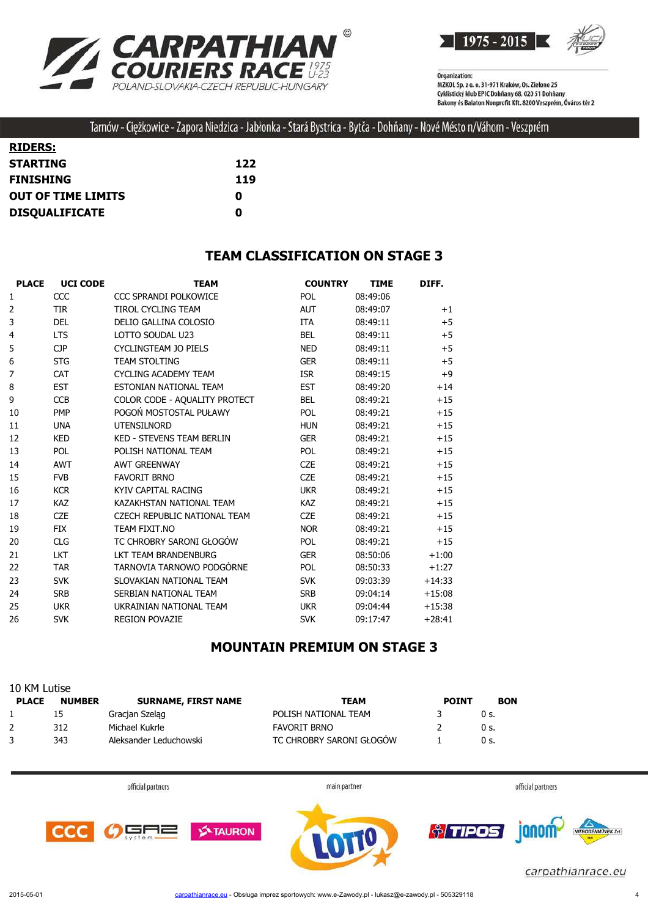



Tarnów - Ciężkowice - Zapora Niedzica - Jabłonka - Stará Bystrica - Bytča - Dohňany - Nové Mésto n/Váhom - Veszprém

| <b>RIDERS:</b>            |     |
|---------------------------|-----|
| <b>STARTING</b>           | 122 |
| <b>FINISHING</b>          | 119 |
| <b>OUT OF TIME LIMITS</b> | o   |
| <b>DISQUALIFICATE</b>     | O   |

#### **TEAM CLASSIFICATION ON STAGE 3**

| <b>PLACE</b>   | <b>UCI CODE</b> | <b>TEAM</b>                         | <b>COUNTRY</b> | <b>TIME</b> | DIFF.    |
|----------------|-----------------|-------------------------------------|----------------|-------------|----------|
| 1              | CCC             | CCC SPRANDI POLKOWICE               | <b>POL</b>     | 08:49:06    |          |
| $\overline{2}$ | <b>TIR</b>      | <b>TIROL CYCLING TEAM</b>           | <b>AUT</b>     | 08:49:07    | $+1$     |
| 3              | <b>DEL</b>      | DELIO GALLINA COLOSIO               | <b>ITA</b>     | 08:49:11    | $+5$     |
| 4              | <b>LTS</b>      | LOTTO SOUDAL U23                    | <b>BEL</b>     | 08:49:11    | $+5$     |
| 5              | <b>CJP</b>      | <b>CYCLINGTEAM JO PIELS</b>         | <b>NED</b>     | 08:49:11    | $+5$     |
| 6              | <b>STG</b>      | <b>TEAM STOLTING</b>                | <b>GER</b>     | 08:49:11    | $+5$     |
| 7              | <b>CAT</b>      | <b>CYCLING ACADEMY TEAM</b>         | <b>ISR</b>     | 08:49:15    | $+9$     |
| 8              | <b>EST</b>      | ESTONIAN NATIONAL TEAM              | <b>EST</b>     | 08:49:20    | $+14$    |
| 9              | <b>CCB</b>      | COLOR CODE - AQUALITY PROTECT       | <b>BEL</b>     | 08:49:21    | $+15$    |
| 10             | <b>PMP</b>      | POGOŃ MOSTOSTAL PUŁAWY              | <b>POL</b>     | 08:49:21    | $+15$    |
| 11             | <b>UNA</b>      | <b>UTENSILNORD</b>                  | <b>HUN</b>     | 08:49:21    | $+15$    |
| 12             | <b>KED</b>      | <b>KED - STEVENS TEAM BERLIN</b>    | <b>GER</b>     | 08:49:21    | $+15$    |
| 13             | <b>POL</b>      | POLISH NATIONAL TEAM                | <b>POL</b>     | 08:49:21    | $+15$    |
| 14             | <b>AWT</b>      | <b>AWT GREENWAY</b>                 | <b>CZE</b>     | 08:49:21    | $+15$    |
| 15             | <b>FVB</b>      | <b>FAVORIT BRNO</b>                 | <b>CZE</b>     | 08:49:21    | $+15$    |
| 16             | <b>KCR</b>      | KYIV CAPITAL RACING                 | <b>UKR</b>     | 08:49:21    | $+15$    |
| 17             | <b>KAZ</b>      | KAZAKHSTAN NATIONAL TEAM            | <b>KAZ</b>     | 08:49:21    | $+15$    |
| 18             | <b>CZE</b>      | <b>CZECH REPUBLIC NATIONAL TEAM</b> | <b>CZE</b>     | 08:49:21    | $+15$    |
| 19             | <b>FIX</b>      | TEAM FIXIT.NO                       | <b>NOR</b>     | 08:49:21    | $+15$    |
| 20             | <b>CLG</b>      | TC CHROBRY SARONI GŁOGÓW            | <b>POL</b>     | 08:49:21    | $+15$    |
| 21             | <b>LKT</b>      | LKT TEAM BRANDENBURG                | <b>GER</b>     | 08:50:06    | $+1:00$  |
| 22             | <b>TAR</b>      | TARNOVIA TARNOWO PODGÓRNE           | <b>POL</b>     | 08:50:33    | $+1:27$  |
| 23             | <b>SVK</b>      | SLOVAKIAN NATIONAL TEAM             | <b>SVK</b>     | 09:03:39    | $+14:33$ |
| 24             | <b>SRB</b>      | SERBIAN NATIONAL TEAM               | <b>SRB</b>     | 09:04:14    | $+15:08$ |
| 25             | <b>UKR</b>      | UKRAINIAN NATIONAL TEAM             | <b>UKR</b>     | 09:04:44    | $+15:38$ |
| 26             | <b>SVK</b>      | <b>REGION POVAZIE</b>               | <b>SVK</b>     | 09:17:47    | $+28:41$ |

## **MOUNTAIN PREMIUM ON STAGE 3**

| 10 KM Lutise |               |                            |                          |              |            |  |  |
|--------------|---------------|----------------------------|--------------------------|--------------|------------|--|--|
| <b>PLACE</b> | <b>NUMBER</b> | <b>SURNAME, FIRST NAME</b> | <b>TEAM</b>              | <b>POINT</b> | <b>BON</b> |  |  |
|              | 15            | Gracjan Szelag             | POLISH NATIONAL TEAM     |              | 0 s.       |  |  |
|              | 312           | Michael Kukrle             | FAVORIT BRNO             |              | 0 s.       |  |  |
|              | 343           | Aleksander Leduchowski     | TC CHROBRY SARONI GŁOGÓW |              | 0 s.       |  |  |

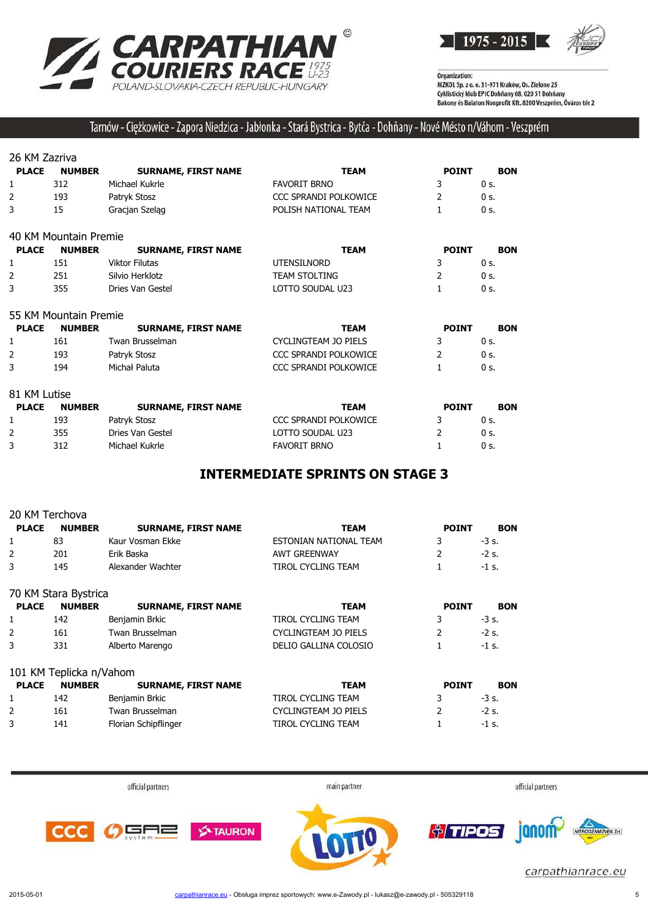



## Tarnów - Ciężkowice - Zapora Niedzica - Jabłonka - Stará Bystrica - Bytča - Dohňany - Nové Mésto n/Váhom - Veszprém

26 KM Zazriva

| <b>PLACE</b> | <b>NUMBER</b> | <b>SURNAME, FIRST NAME</b> | TEAM                  | <b>POINT</b> | <b>BON</b> |
|--------------|---------------|----------------------------|-----------------------|--------------|------------|
|              | 312           | Michael Kukrle             | FAVORIT BRNO          |              | 0 s.       |
|              | 193           | Patryk Stosz               | CCC SPRANDI POLKOWICE |              | 0 s.       |
|              | 15            | Gracjan Szelag             | POLISH NATIONAL TEAM  |              | 0 s.       |
|              |               |                            |                       |              |            |

|  | 40 KM Mountain Premie |  |
|--|-----------------------|--|
|  |                       |  |

| <b>PLACE</b> | <b>NUMBER</b> | <b>SURNAME, FIRST NAME</b> | TEAM                 | <b>POINT</b> | <b>BON</b> |
|--------------|---------------|----------------------------|----------------------|--------------|------------|
|              | 151           | Viktor Filutas             | <b>UTENSILNORD</b>   |              | 0 s.       |
|              | 251           | Silvio Herklotz            | <b>TEAM STOLTING</b> |              | 0 s.       |
|              | 355           | Dries Van Gestel           | LOTTO SOUDAL U23     |              | 0 s.       |

55 KM Mountain Premie

| <b>PLACE</b> | <b>NUMBER</b> | <b>SURNAME, FIRST NAME</b> | TEAM                  | <b>POINT</b> | <b>BON</b> |
|--------------|---------------|----------------------------|-----------------------|--------------|------------|
|              | 161           | Twan Brusselman            | CYCLINGTEAM JO PIELS  |              | 0 s.       |
|              | 193           | Patryk Stosz               | CCC SPRANDI POLKOWICE |              | 0 s.       |
| 3            | 194           | Michał Paluta              | CCC SPRANDI POLKOWICE |              | 0 s.       |

| <b>PLACE</b> | <b>NUMBER</b> | <b>SURNAME, FIRST NAME</b> | TEAM                  | <b>POINT</b> | <b>BON</b> |
|--------------|---------------|----------------------------|-----------------------|--------------|------------|
|              | 193           | Patryk Stosz               | CCC SPRANDI POLKOWICE |              | $0s$ .     |
|              | 355           | Dries Van Gestel           | LOTTO SOUDAL U23      |              | 0 s.       |
|              | 312           | Michael Kukrle             | <b>FAVORIT BRNO</b>   |              | 0 s.       |

## **INTERMEDIATE SPRINTS ON STAGE 3**

| 20 KM Terchova |                         |                            |                             |              |            |
|----------------|-------------------------|----------------------------|-----------------------------|--------------|------------|
| <b>PLACE</b>   | <b>NUMBER</b>           | <b>SURNAME, FIRST NAME</b> | <b>TEAM</b>                 | <b>POINT</b> | <b>BON</b> |
|                | 83                      | Kaur Vosman Ekke           | ESTONIAN NATIONAL TEAM      | 3            | $-3$ s.    |
| 2              | 201                     | Erik Baska                 | <b>AWT GREENWAY</b>         |              | $-2s$ .    |
| 3              | 145                     | Alexander Wachter          | TIROL CYCLING TEAM          |              | $-1$ s.    |
|                | 70 KM Stara Bystrica    |                            |                             |              |            |
| <b>PLACE</b>   | <b>NUMBER</b>           | <b>SURNAME, FIRST NAME</b> | <b>TEAM</b>                 | <b>POINT</b> | <b>BON</b> |
|                | 142                     | Benjamin Brkic             | TIROL CYCLING TEAM          | 3            | $-3$ s.    |
|                | 161                     | Twan Brusselman            | <b>CYCLINGTEAM JO PIELS</b> |              | $-2s$ .    |
| 3              | 331                     | Alberto Marengo            | DELIO GALLINA COLOSIO       |              | $-1$ s.    |
|                | 101 KM Teplicka n/Vahom |                            |                             |              |            |
| <b>PLACE</b>   | <b>NUMBER</b>           | <b>SURNAME, FIRST NAME</b> | <b>TEAM</b>                 | <b>POINT</b> | <b>BON</b> |
|                | 142                     | Benjamin Brkic             | TIROL CYCLING TEAM          | 3            | -3 s.      |
| 2              | 161                     | Twan Brusselman            | CYCLINGTEAM JO PIELS        |              | $-2$ s.    |
| 3              | 141                     | Florian Schipflinger       | TIROL CYCLING TEAM          |              | $-1$ s.    |

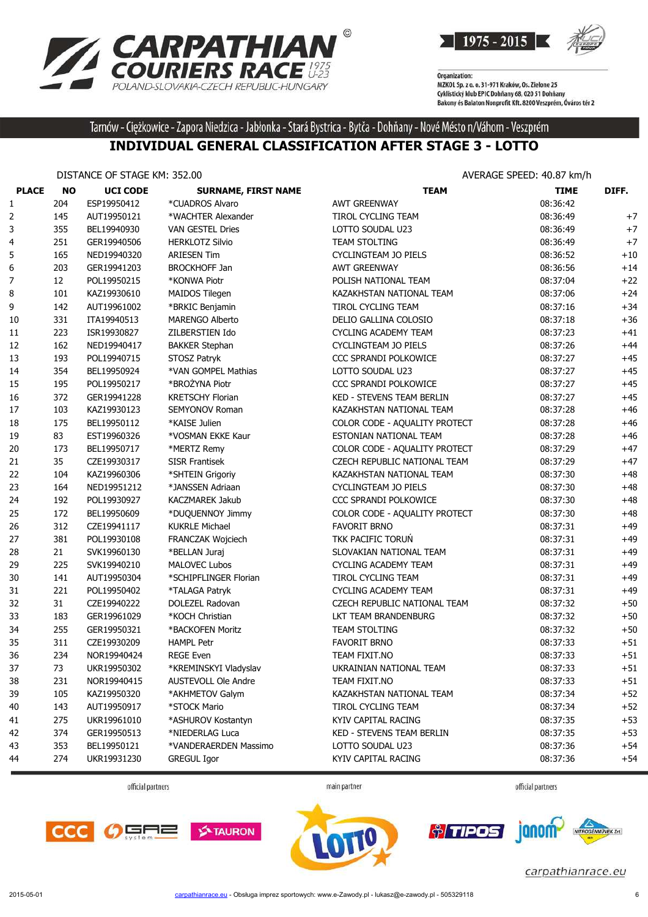



Tarnów - Ciężkowice - Zapora Niedzica - Jabłonka - Stará Bystrica - Bytča - Dohňany - Nové Mésto n/Váhom - Veszprém

#### **INDIVIDUAL GENERAL CLASSIFICATION AFTER STAGE 3 - LOTTO**

|              | DISTANCE OF STAGE KM: 352.00 |                 |                            | AVERAGE SPEED: 40.87 km/h     |             |       |  |
|--------------|------------------------------|-----------------|----------------------------|-------------------------------|-------------|-------|--|
| <b>PLACE</b> | <b>NO</b>                    | <b>UCI CODE</b> | <b>SURNAME, FIRST NAME</b> | <b>TEAM</b>                   | <b>TIME</b> | DIFF. |  |
| 1            | 204                          | ESP19950412     | *CUADROS Alvaro            | <b>AWT GREENWAY</b>           | 08:36:42    |       |  |
| 2            | 145                          | AUT19950121     | *WACHTER Alexander         | TIROL CYCLING TEAM            | 08:36:49    | $+7$  |  |
| 3            | 355                          | BEL19940930     | <b>VAN GESTEL Dries</b>    | LOTTO SOUDAL U23              | 08:36:49    | $+7$  |  |
| 4            | 251                          | GER19940506     | <b>HERKLOTZ Silvio</b>     | <b>TEAM STOLTING</b>          | 08:36:49    | $+7$  |  |
| 5            | 165                          | NED19940320     | <b>ARIESEN Tim</b>         | CYCLINGTEAM JO PIELS          | 08:36:52    | $+10$ |  |
| 6            | 203                          | GER19941203     | <b>BROCKHOFF Jan</b>       | <b>AWT GREENWAY</b>           | 08:36:56    | $+14$ |  |
| 7            | 12                           | POL19950215     | *KONWA Piotr               | POLISH NATIONAL TEAM          | 08:37:04    | $+22$ |  |
| 8            | 101                          | KAZ19930610     | <b>MAIDOS Tilegen</b>      | KAZAKHSTAN NATIONAL TEAM      | 08:37:06    | $+24$ |  |
| 9            | 142                          | AUT19961002     | *BRKIC Benjamin            | <b>TIROL CYCLING TEAM</b>     | 08:37:16    | $+34$ |  |
| 10           | 331                          | ITA19940513     | <b>MARENGO Alberto</b>     | DELIO GALLINA COLOSIO         | 08:37:18    | $+36$ |  |
| 11           | 223                          | ISR19930827     | ZILBERSTIEN Ido            | <b>CYCLING ACADEMY TEAM</b>   | 08:37:23    | $+41$ |  |
| 12           | 162                          | NED19940417     | <b>BAKKER Stephan</b>      | CYCLINGTEAM JO PIELS          | 08:37:26    | $+44$ |  |
| 13           | 193                          | POL19940715     | STOSZ Patryk               | CCC SPRANDI POLKOWICE         | 08:37:27    | $+45$ |  |
| 14           | 354                          | BEL19950924     | *VAN GOMPEL Mathias        | LOTTO SOUDAL U23              | 08:37:27    | $+45$ |  |
| 15           | 195                          | POL19950217     | *BROŻYNA Piotr             | CCC SPRANDI POLKOWICE         | 08:37:27    | $+45$ |  |
| 16           | 372                          | GER19941228     | <b>KRETSCHY Florian</b>    | KED - STEVENS TEAM BERLIN     | 08:37:27    | $+45$ |  |
| 17           | 103                          | KAZ19930123     | SEMYONOV Roman             | KAZAKHSTAN NATIONAL TEAM      | 08:37:28    | $+46$ |  |
| 18           | 175                          | BEL19950112     | *KAISE Julien              | COLOR CODE - AQUALITY PROTECT | 08:37:28    | $+46$ |  |
| 19           | 83                           | EST19960326     | *VOSMAN EKKE Kaur          | ESTONIAN NATIONAL TEAM        | 08:37:28    | $+46$ |  |
| 20           | 173                          | BEL19950717     | *MERTZ Remy                | COLOR CODE - AQUALITY PROTECT | 08:37:29    | $+47$ |  |
| 21           | 35                           | CZE19930317     | <b>SISR Frantisek</b>      | CZECH REPUBLIC NATIONAL TEAM  | 08:37:29    | $+47$ |  |
| 22           | 104                          | KAZ19960306     | *SHTEIN Grigoriy           | KAZAKHSTAN NATIONAL TEAM      | 08:37:30    | $+48$ |  |
| 23           | 164                          | NED19951212     | *JANSSEN Adriaan           | <b>CYCLINGTEAM JO PIELS</b>   | 08:37:30    | $+48$ |  |
| 24           | 192                          | POL19930927     | KACZMAREK Jakub            | CCC SPRANDI POLKOWICE         | 08:37:30    | $+48$ |  |
| 25           | 172                          | BEL19950609     | *DUQUENNOY Jimmy           | COLOR CODE - AQUALITY PROTECT | 08:37:30    | $+48$ |  |
| 26           | 312                          | CZE19941117     | <b>KUKRLE Michael</b>      | <b>FAVORIT BRNO</b>           | 08:37:31    | $+49$ |  |
| 27           | 381                          | POL19930108     | FRANCZAK Wojciech          | TKK PACIFIC TORUN             | 08:37:31    | $+49$ |  |
| 28           | 21                           | SVK19960130     | *BELLAN Juraj              | SLOVAKIAN NATIONAL TEAM       | 08:37:31    | $+49$ |  |
| 29           | 225                          | SVK19940210     | <b>MALOVEC Lubos</b>       | <b>CYCLING ACADEMY TEAM</b>   | 08:37:31    | $+49$ |  |
| 30           | 141                          | AUT19950304     | *SCHIPFLINGER Florian      | TIROL CYCLING TEAM            | 08:37:31    | $+49$ |  |
| 31           | 221                          | POL19950402     | *TALAGA Patryk             | CYCLING ACADEMY TEAM          | 08:37:31    | $+49$ |  |
| 32           | 31                           | CZE19940222     | DOLEZEL Radovan            | CZECH REPUBLIC NATIONAL TEAM  | 08:37:32    | $+50$ |  |
| 33           | 183                          | GER19961029     | *KOCH Christian            | LKT TEAM BRANDENBURG          | 08:37:32    | $+50$ |  |
| 34           | 255                          | GER19950321     | *BACKOFEN Moritz           | TEAM STOLTING                 | 08:37:32    | $+50$ |  |
| 35           | 311                          | CZE19930209     | <b>HAMPL Petr</b>          | <b>FAVORIT BRNO</b>           | 08:37:33    | $+51$ |  |
| 36           | 234                          | NOR19940424     | <b>REGE Even</b>           | TEAM FIXIT.NO                 | 08:37:33    | $+51$ |  |
| 37           | 73                           | UKR19950302     | *KREMINSKYI Vladyslav      | UKRAINIAN NATIONAL TEAM       | 08:37:33    | $+51$ |  |
| 38           | 231                          | NOR19940415     | AUSTEVOLL Ole Andre        | TEAM FIXIT.NO                 | 08:37:33    | $+51$ |  |
| 39           | 105                          | KAZ19950320     | *AKHMETOV Galym            | KAZAKHSTAN NATIONAL TEAM      | 08:37:34    | $+52$ |  |
| 40           | 143                          | AUT19950917     | *STOCK Mario               | TIROL CYCLING TEAM            | 08:37:34    | $+52$ |  |
| 41           | 275                          | UKR19961010     | *ASHUROV Kostantyn         | KYIV CAPITAL RACING           | 08:37:35    | $+53$ |  |
| 42           | 374                          | GER19950513     | *NIEDERLAG Luca            | KED - STEVENS TEAM BERLIN     | 08:37:35    | $+53$ |  |
| 43           | 353                          | BEL19950121     | *VANDERAERDEN Massimo      | LOTTO SOUDAL U23              | 08:37:36    | $+54$ |  |
| 44           | 274                          | UKR19931230     | <b>GREGUL Igor</b>         | KYIV CAPITAL RACING           | 08:37:36    | $+54$ |  |
|              |                              |                 |                            |                               |             |       |  |

official partners

main partner



janom-

*<u>oliminal</u>* 







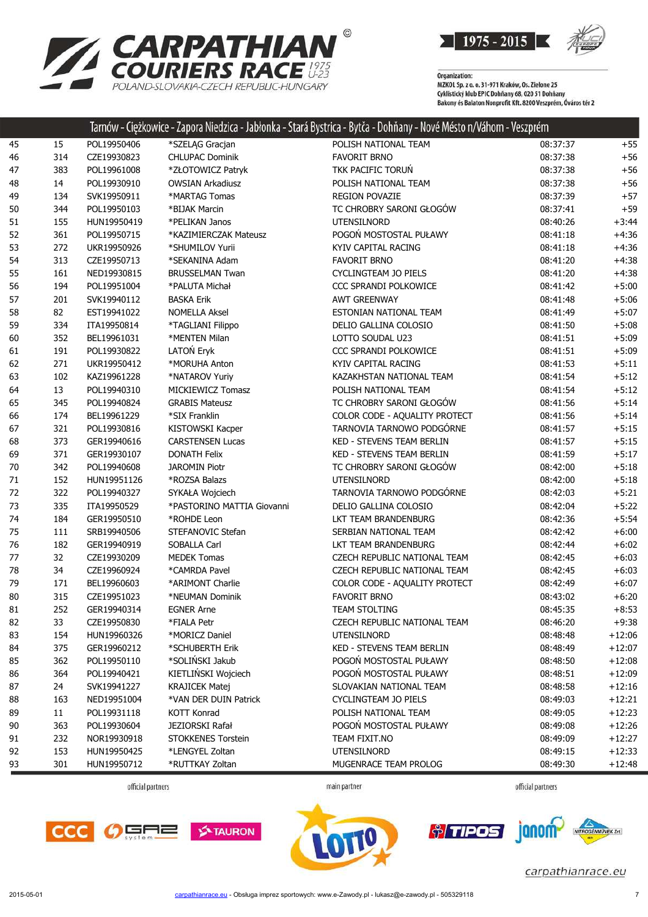

|    |     |             |                            | Tarnów - Ciężkowice - Zapora Niedzica - Jabłonka - Stará Bystrica - Bytča - Dohňany - Nové Mésto n/Váhom - Veszprém |          |          |
|----|-----|-------------|----------------------------|---------------------------------------------------------------------------------------------------------------------|----------|----------|
| 45 | 15  | POL19950406 | *SZELĄG Gracjan            | POLISH NATIONAL TEAM                                                                                                | 08:37:37 | $+55$    |
| 46 | 314 | CZE19930823 | <b>CHLUPAC Dominik</b>     | <b>FAVORIT BRNO</b>                                                                                                 | 08:37:38 | $+56$    |
| 47 | 383 | POL19961008 | *ZŁOTOWICZ Patryk          | TKK PACIFIC TORUN                                                                                                   | 08:37:38 | $+56$    |
| 48 | 14  | POL19930910 | <b>OWSIAN Arkadiusz</b>    | POLISH NATIONAL TEAM                                                                                                | 08:37:38 | $+56$    |
| 49 | 134 | SVK19950911 | *MARTAG Tomas              | <b>REGION POVAZIE</b>                                                                                               | 08:37:39 | $+57$    |
| 50 | 344 | POL19950103 | *BIJAK Marcin              | TC CHROBRY SARONI GŁOGÓW                                                                                            | 08:37:41 | $+59$    |
| 51 | 155 | HUN19950419 | *PELIKAN Janos             | <b>UTENSILNORD</b>                                                                                                  | 08:40:26 | $+3:44$  |
| 52 | 361 | POL19950715 | *KAZIMIERCZAK Mateusz      | POGOŃ MOSTOSTAL PUŁAWY                                                                                              | 08:41:18 | $+4:36$  |
| 53 | 272 | UKR19950926 | *SHUMILOV Yurii            | KYIV CAPITAL RACING                                                                                                 | 08:41:18 | $+4:36$  |
| 54 | 313 | CZE19950713 | *SEKANINA Adam             | <b>FAVORIT BRNO</b>                                                                                                 | 08:41:20 | $+4:38$  |
| 55 | 161 | NED19930815 | <b>BRUSSELMAN Twan</b>     | CYCLINGTEAM JO PIELS                                                                                                | 08:41:20 | $+4:38$  |
| 56 | 194 | POL19951004 | *PALUTA Michał             | CCC SPRANDI POLKOWICE                                                                                               | 08:41:42 | $+5:00$  |
| 57 | 201 | SVK19940112 | <b>BASKA Erik</b>          | <b>AWT GREENWAY</b>                                                                                                 | 08:41:48 | $+5:06$  |
| 58 | 82  | EST19941022 | <b>NOMELLA Aksel</b>       | ESTONIAN NATIONAL TEAM                                                                                              | 08:41:49 | $+5:07$  |
| 59 | 334 | ITA19950814 | *TAGLIANI Filippo          | DELIO GALLINA COLOSIO                                                                                               | 08:41:50 | $+5:08$  |
| 60 | 352 | BEL19961031 | *MENTEN Milan              | LOTTO SOUDAL U23                                                                                                    | 08:41:51 | $+5:09$  |
| 61 | 191 | POL19930822 | LATOŃ Eryk                 | CCC SPRANDI POLKOWICE                                                                                               | 08:41:51 | $+5:09$  |
| 62 | 271 | UKR19950412 | *MORUHA Anton              | KYIV CAPITAL RACING                                                                                                 | 08:41:53 | $+5:11$  |
| 63 | 102 | KAZ19961228 | *NATAROV Yuriy             | KAZAKHSTAN NATIONAL TEAM                                                                                            | 08:41:54 | $+5:12$  |
| 64 | 13  | POL19940310 | MICKIEWICZ Tomasz          | POLISH NATIONAL TEAM                                                                                                | 08:41:54 | $+5:12$  |
| 65 | 345 | POL19940824 | <b>GRABIS Mateusz</b>      | TC CHROBRY SARONI GŁOGÓW                                                                                            | 08:41:56 | $+5:14$  |
| 66 | 174 | BEL19961229 | *SIX Franklin              | COLOR CODE - AQUALITY PROTECT                                                                                       | 08:41:56 | $+5:14$  |
| 67 | 321 | POL19930816 | KISTOWSKI Kacper           | TARNOVIA TARNOWO PODGÓRNE                                                                                           | 08:41:57 | $+5:15$  |
| 68 | 373 | GER19940616 | <b>CARSTENSEN Lucas</b>    | KED - STEVENS TEAM BERLIN                                                                                           | 08:41:57 | $+5:15$  |
| 69 | 371 | GER19930107 | <b>DONATH Felix</b>        | KED - STEVENS TEAM BERLIN                                                                                           | 08:41:59 | $+5:17$  |
| 70 | 342 | POL19940608 | <b>JAROMIN Piotr</b>       | TC CHROBRY SARONI GŁOGÓW                                                                                            | 08:42:00 | $+5:18$  |
| 71 | 152 | HUN19951126 | *ROZSA Balazs              | <b>UTENSILNORD</b>                                                                                                  | 08:42:00 | $+5:18$  |
| 72 | 322 | POL19940327 | SYKAŁA Wojciech            | TARNOVIA TARNOWO PODGÓRNE                                                                                           | 08:42:03 | $+5:21$  |
| 73 | 335 | ITA19950529 | *PASTORINO MATTIA Giovanni | DELIO GALLINA COLOSIO                                                                                               | 08:42:04 | $+5:22$  |
| 74 | 184 | GER19950510 | *ROHDE Leon                | LKT TEAM BRANDENBURG                                                                                                | 08:42:36 | $+5:54$  |
| 75 | 111 | SRB19940506 | STEFANOVIC Stefan          | SERBIAN NATIONAL TEAM                                                                                               | 08:42:42 | $+6:00$  |
| 76 | 182 | GER19940919 | SOBALLA Carl               | LKT TEAM BRANDENBURG                                                                                                | 08:42:44 | $+6:02$  |
| 77 | 32  | CZE19930209 | <b>MEDEK Tomas</b>         | CZECH REPUBLIC NATIONAL TEAM                                                                                        | 08:42:45 | $+6:03$  |
| 78 | 34  | CZE19960924 | *CAMRDA Pavel              | CZECH REPUBLIC NATIONAL TEAM                                                                                        | 08:42:45 | $+6:03$  |
| 79 | 171 | BEL19960603 | *ARIMONT Charlie           | COLOR CODE - AQUALITY PROTECT                                                                                       | 08:42:49 | $+6:07$  |
| 80 | 315 | CZE19951023 | *NEUMAN Dominik            | <b>FAVORIT BRNO</b>                                                                                                 | 08:43:02 | $+6:20$  |
| 81 | 252 | GER19940314 | <b>EGNER Arne</b>          | TEAM STOLTING                                                                                                       | 08:45:35 | $+8:53$  |
| 82 | 33  | CZE19950830 | *FIALA Petr                | CZECH REPUBLIC NATIONAL TEAM                                                                                        | 08:46:20 | $+9:38$  |
| 83 | 154 | HUN19960326 | *MORICZ Daniel             | <b>UTENSILNORD</b>                                                                                                  | 08:48:48 | $+12:06$ |
| 84 | 375 | GER19960212 | *SCHUBERTH Erik            | KED - STEVENS TEAM BERLIN                                                                                           | 08:48:49 | $+12:07$ |
| 85 | 362 | POL19950110 | *SOLIŃSKI Jakub            | POGOŃ MOSTOSTAL PUŁAWY                                                                                              | 08:48:50 | $+12:08$ |
| 86 | 364 | POL19940421 | KIETLIŃSKI Wojciech        | POGOŃ MOSTOSTAL PUŁAWY                                                                                              | 08:48:51 | $+12:09$ |
| 87 | 24  | SVK19941227 | <b>KRAJICEK Matej</b>      | SLOVAKIAN NATIONAL TEAM                                                                                             | 08:48:58 | $+12:16$ |
| 88 | 163 | NED19951004 | *VAN DER DUIN Patrick      | CYCLINGTEAM JO PIELS                                                                                                | 08:49:03 | $+12:21$ |
| 89 | 11  | POL19931118 | KOTT Konrad                | POLISH NATIONAL TEAM                                                                                                | 08:49:05 | $+12:23$ |
| 90 | 363 | POL19930604 | JEZIORSKI Rafał            | POGOŃ MOSTOSTAL PUŁAWY                                                                                              | 08:49:08 | $+12:26$ |
| 91 | 232 | NOR19930918 | STOKKENES Torstein         | TEAM FIXIT.NO                                                                                                       | 08:49:09 | $+12:27$ |
| 92 | 153 | HUN19950425 | *LENGYEL Zoltan            | <b>UTENSILNORD</b>                                                                                                  | 08:49:15 | $+12:33$ |
| 93 | 301 | HUN19950712 | *RUTTKAY Zoltan            | MUGENRACE TEAM PROLOG                                                                                               | 08:49:30 | $+12:48$ |

**RPATHIAN<sup>®</sup><br>RIERS RACE <sup>1975</sup><br>LOVAKIA-CZECH REPUBLIC-HUNGARY** 

POLAND-SLOVAKIA-CZECH REPUBLIC-HUNGARY

**CA** 

main partner











carpathianrace.eu

 $\overline{2n}$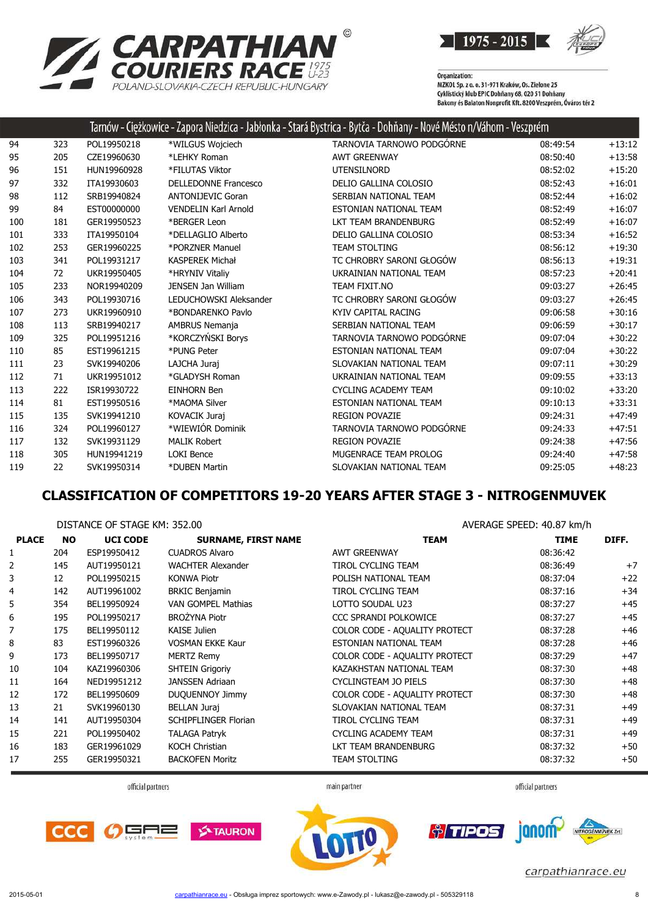



|     |     |             |                             | Tarnów - Ciężkowice - Zapora Niedzica - Jabłonka - Stará Bystrica - Bytča - Dohňany - Nové Mésto n/Váhom - Veszprém |          |          |
|-----|-----|-------------|-----------------------------|---------------------------------------------------------------------------------------------------------------------|----------|----------|
| 94  | 323 | POL19950218 | *WILGUS Wojciech            | TARNOVIA TARNOWO PODGÓRNE                                                                                           | 08:49:54 | $+13:12$ |
| 95  | 205 | CZE19960630 | *LEHKY Roman                | <b>AWT GREENWAY</b>                                                                                                 | 08:50:40 | $+13:58$ |
| 96  | 151 | HUN19960928 | *FILUTAS Viktor             | <b>UTENSILNORD</b>                                                                                                  | 08:52:02 | $+15:20$ |
| 97  | 332 | ITA19930603 | <b>DELLEDONNE Francesco</b> | DELIO GALLINA COLOSIO                                                                                               | 08:52:43 | $+16:01$ |
| 98  | 112 | SRB19940824 | <b>ANTONIJEVIC Goran</b>    | SERBIAN NATIONAL TEAM                                                                                               | 08:52:44 | $+16:02$ |
| 99  | 84  | EST00000000 | <b>VENDELIN Karl Arnold</b> | ESTONIAN NATIONAL TEAM                                                                                              | 08:52:49 | $+16:07$ |
| 100 | 181 | GER19950523 | *BERGER Leon                | LKT TEAM BRANDENBURG                                                                                                | 08:52:49 | $+16:07$ |
| 101 | 333 | ITA19950104 | *DELLAGLIO Alberto          | DELIO GALLINA COLOSIO                                                                                               | 08:53:34 | $+16:52$ |
| 102 | 253 | GER19960225 | *PORZNER Manuel             | <b>TEAM STOLTING</b>                                                                                                | 08:56:12 | $+19:30$ |
| 103 | 341 | POL19931217 | <b>KASPEREK Michał</b>      | TC CHROBRY SARONI GŁOGÓW                                                                                            | 08:56:13 | $+19:31$ |
| 104 | 72  | UKR19950405 | *HRYNIV Vitaliy             | UKRAINIAN NATIONAL TEAM                                                                                             | 08:57:23 | $+20:41$ |
| 105 | 233 | NOR19940209 | <b>JENSEN Jan William</b>   | TEAM FIXIT.NO                                                                                                       | 09:03:27 | $+26:45$ |
| 106 | 343 | POL19930716 | LEDUCHOWSKI Aleksander      | TC CHROBRY SARONI GŁOGÓW                                                                                            | 09:03:27 | $+26:45$ |
| 107 | 273 | UKR19960910 | *BONDARENKO Pavlo           | KYIV CAPITAL RACING                                                                                                 | 09:06:58 | $+30:16$ |
| 108 | 113 | SRB19940217 | <b>AMBRUS Nemanja</b>       | SERBIAN NATIONAL TEAM                                                                                               | 09:06:59 | $+30:17$ |
| 109 | 325 | POL19951216 | *KORCZYŃSKI Borys           | TARNOVIA TARNOWO PODGÓRNE                                                                                           | 09:07:04 | $+30:22$ |
| 110 | 85  | EST19961215 | *PUNG Peter                 | ESTONIAN NATIONAL TEAM                                                                                              | 09:07:04 | $+30:22$ |
| 111 | 23  | SVK19940206 | LAJCHA Juraj                | SLOVAKIAN NATIONAL TEAM                                                                                             | 09:07:11 | $+30:29$ |
| 112 | 71  | UKR19951012 | *GLADYSH Roman              | UKRAINIAN NATIONAL TEAM                                                                                             | 09:09:55 | $+33:13$ |
| 113 | 222 | ISR19930722 | <b>EINHORN Ben</b>          | <b>CYCLING ACADEMY TEAM</b>                                                                                         | 09:10:02 | $+33:20$ |
| 114 | 81  | EST19950516 | *MAOMA Silver               | ESTONIAN NATIONAL TEAM                                                                                              | 09:10:13 | $+33:31$ |
| 115 | 135 | SVK19941210 | KOVACIK Juraj               | <b>REGION POVAZIE</b>                                                                                               | 09:24:31 | $+47:49$ |
| 116 | 324 | POL19960127 | *WIEWIÓR Dominik            | TARNOVIA TARNOWO PODGÓRNE                                                                                           | 09:24:33 | $+47:51$ |
| 117 | 132 | SVK19931129 | <b>MALIK Robert</b>         | <b>REGION POVAZIE</b>                                                                                               | 09:24:38 | $+47:56$ |
| 118 | 305 | HUN19941219 | <b>LOKI Bence</b>           | MUGENRACE TEAM PROLOG                                                                                               | 09:24:40 | $+47:58$ |
| 119 | 22  | SVK19950314 | *DUBEN Martin               | SLOVAKIAN NATIONAL TEAM                                                                                             | 09:25:05 | $+48:23$ |

### **CLASSIFICATION OF COMPETITORS 19-20 YEARS AFTER STAGE 3 - NITROGENMUVEK**

|                | DISTANCE OF STAGE KM: 352.00 |                 |                             | AVERAGE SPEED: 40.87 km/h     |             |       |
|----------------|------------------------------|-----------------|-----------------------------|-------------------------------|-------------|-------|
| <b>PLACE</b>   | <b>NO</b>                    | <b>UCI CODE</b> | <b>SURNAME, FIRST NAME</b>  | <b>TEAM</b>                   | <b>TIME</b> | DIFF. |
| 1              | 204                          | ESP19950412     | <b>CUADROS Alvaro</b>       | <b>AWT GREENWAY</b>           | 08:36:42    |       |
| 2              | 145                          | AUT19950121     | <b>WACHTER Alexander</b>    | <b>TIROL CYCLING TEAM</b>     | 08:36:49    | $+7$  |
| 3              | 12                           | POL19950215     | <b>KONWA Piotr</b>          | POLISH NATIONAL TEAM          | 08:37:04    | $+22$ |
| $\overline{4}$ | 142                          | AUT19961002     | <b>BRKIC Benjamin</b>       | TIROL CYCLING TEAM            | 08:37:16    | $+34$ |
| 5              | 354                          | BEL19950924     | <b>VAN GOMPEL Mathias</b>   | LOTTO SOUDAL U23              | 08:37:27    | $+45$ |
| 6              | 195                          | POL19950217     | <b>BROŻYNA Piotr</b>        | CCC SPRANDI POLKOWICE         | 08:37:27    | $+45$ |
| 7              | 175                          | BEL19950112     | KAISE Julien                | COLOR CODE - AQUALITY PROTECT | 08:37:28    | $+46$ |
| 8              | 83                           | EST19960326     | <b>VOSMAN EKKE Kaur</b>     | ESTONIAN NATIONAL TEAM        | 08:37:28    | $+46$ |
| 9              | 173                          | BEL19950717     | <b>MERTZ Remy</b>           | COLOR CODE - AQUALITY PROTECT | 08:37:29    | $+47$ |
| 10             | 104                          | KAZ19960306     | <b>SHTEIN Grigoriy</b>      | KAZAKHSTAN NATIONAL TEAM      | 08:37:30    | +48   |
| 11             | 164                          | NED19951212     | <b>JANSSEN Adriaan</b>      | CYCLINGTEAM JO PIELS          | 08:37:30    | $+48$ |
| 12             | 172                          | BEL19950609     | <b>DUQUENNOY Jimmy</b>      | COLOR CODE - AQUALITY PROTECT | 08:37:30    | $+48$ |
| 13             | 21                           | SVK19960130     | <b>BELLAN Juraj</b>         | SLOVAKIAN NATIONAL TEAM       | 08:37:31    | $+49$ |
| 14             | 141                          | AUT19950304     | <b>SCHIPFLINGER Florian</b> | TIROL CYCLING TEAM            | 08:37:31    | $+49$ |
| 15             | 221                          | POL19950402     | <b>TALAGA Patryk</b>        | <b>CYCLING ACADEMY TEAM</b>   | 08:37:31    | $+49$ |
| 16             | 183                          | GER19961029     | <b>KOCH Christian</b>       | LKT TEAM BRANDENBURG          | 08:37:32    | $+50$ |
| 17             | 255                          | GER19950321     | <b>BACKOFEN Moritz</b>      | <b>TEAM STOLTING</b>          | 08:37:32    | $+50$ |

official partners

main partner

official partners

janom-

*<u>oliminal</u>* 







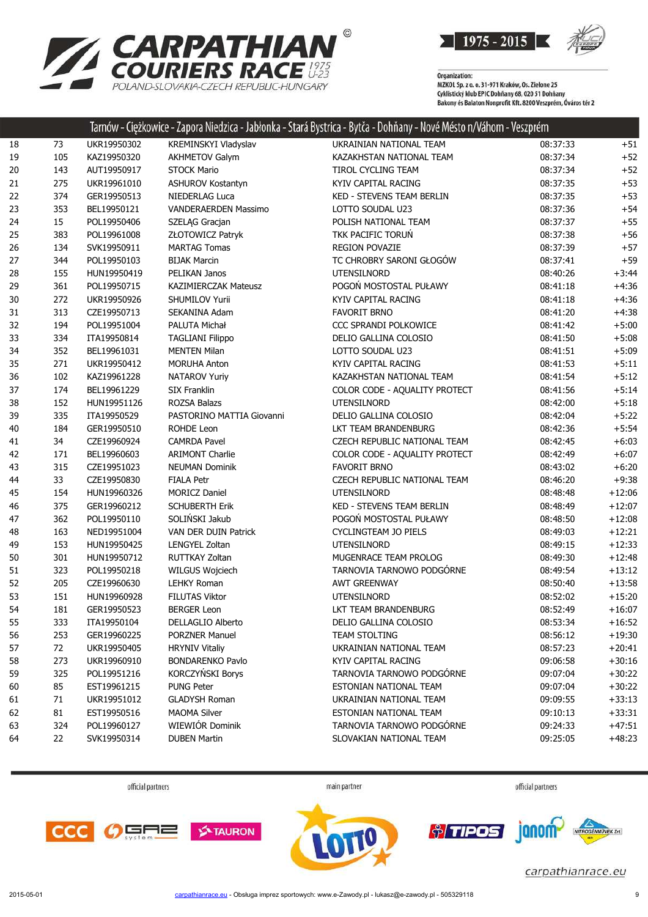

| <b>EXAMPATHIAN</b>                                                 |
|--------------------------------------------------------------------|
| <b>COURIERS RACE #25</b><br>POLAND-SLOVAKIA-CZECH REPUBLIC-HUNGARY |

|    |     |             |                             | Tarnow - Ciężkowice - Zapora Niedzica - Jabłonka - Stara Bystrica - Bytca - Dohnany - Nove Mesto n/Vahom - Veszprem |          |          |
|----|-----|-------------|-----------------------------|---------------------------------------------------------------------------------------------------------------------|----------|----------|
| 18 | 73  | UKR19950302 | KREMINSKYI Vladyslav        | UKRAINIAN NATIONAL TEAM                                                                                             | 08:37:33 | $+51$    |
| 19 | 105 | KAZ19950320 | <b>AKHMETOV Galym</b>       | KAZAKHSTAN NATIONAL TEAM                                                                                            | 08:37:34 | $+52$    |
| 20 | 143 | AUT19950917 | <b>STOCK Mario</b>          | TIROL CYCLING TEAM                                                                                                  | 08:37:34 | $+52$    |
| 21 | 275 | UKR19961010 | <b>ASHUROV Kostantyn</b>    | KYIV CAPITAL RACING                                                                                                 | 08:37:35 | $+53$    |
| 22 | 374 | GER19950513 | NIEDERLAG Luca              | <b>KED - STEVENS TEAM BERLIN</b>                                                                                    | 08:37:35 | $+53$    |
| 23 | 353 | BEL19950121 | VANDERAERDEN Massimo        | LOTTO SOUDAL U23                                                                                                    | 08:37:36 | $+54$    |
| 24 | 15  | POL19950406 | SZELĄG Gracjan              | POLISH NATIONAL TEAM                                                                                                | 08:37:37 | $+55$    |
| 25 | 383 | POL19961008 | ZŁOTOWICZ Patryk            | TKK PACIFIC TORUN                                                                                                   | 08:37:38 | $+56$    |
| 26 | 134 | SVK19950911 | <b>MARTAG Tomas</b>         | <b>REGION POVAZIE</b>                                                                                               | 08:37:39 | $+57$    |
| 27 | 344 | POL19950103 | <b>BIJAK Marcin</b>         | TC CHROBRY SARONI GŁOGÓW                                                                                            | 08:37:41 | $+59$    |
| 28 | 155 | HUN19950419 | PELIKAN Janos               | <b>UTENSILNORD</b>                                                                                                  | 08:40:26 | $+3:44$  |
| 29 | 361 | POL19950715 | <b>KAZIMIERCZAK Mateusz</b> | POGOŃ MOSTOSTAL PUŁAWY                                                                                              | 08:41:18 | $+4:36$  |
| 30 | 272 | UKR19950926 | <b>SHUMILOV Yurii</b>       | KYIV CAPITAL RACING                                                                                                 | 08:41:18 | $+4:36$  |
| 31 | 313 | CZE19950713 | SEKANINA Adam               | <b>FAVORIT BRNO</b>                                                                                                 | 08:41:20 | $+4:38$  |
| 32 | 194 | POL19951004 | PALUTA Michał               | CCC SPRANDI POLKOWICE                                                                                               | 08:41:42 | $+5:00$  |
| 33 | 334 | ITA19950814 | <b>TAGLIANI Filippo</b>     | DELIO GALLINA COLOSIO                                                                                               | 08:41:50 | $+5:08$  |
| 34 | 352 | BEL19961031 | <b>MENTEN Milan</b>         | LOTTO SOUDAL U23                                                                                                    | 08:41:51 | $+5:09$  |
| 35 | 271 | UKR19950412 | <b>MORUHA Anton</b>         | KYIV CAPITAL RACING                                                                                                 | 08:41:53 | $+5:11$  |
| 36 | 102 | KAZ19961228 | NATAROV Yuriy               | KAZAKHSTAN NATIONAL TEAM                                                                                            | 08:41:54 | $+5:12$  |
| 37 | 174 | BEL19961229 | <b>SIX Franklin</b>         | COLOR CODE - AQUALITY PROTECT                                                                                       | 08:41:56 | $+5:14$  |
| 38 | 152 | HUN19951126 | ROZSA Balazs                | <b>UTENSILNORD</b>                                                                                                  | 08:42:00 | $+5:18$  |
| 39 | 335 | ITA19950529 | PASTORINO MATTIA Giovanni   | DELIO GALLINA COLOSIO                                                                                               | 08:42:04 | $+5:22$  |
| 40 | 184 | GER19950510 | ROHDE Leon                  | LKT TEAM BRANDENBURG                                                                                                | 08:42:36 | $+5:54$  |
| 41 | 34  | CZE19960924 | <b>CAMRDA Pavel</b>         | CZECH REPUBLIC NATIONAL TEAM                                                                                        | 08:42:45 | $+6:03$  |
| 42 | 171 | BEL19960603 | <b>ARIMONT Charlie</b>      | COLOR CODE - AQUALITY PROTECT                                                                                       | 08:42:49 | $+6:07$  |
| 43 | 315 | CZE19951023 | <b>NEUMAN Dominik</b>       | <b>FAVORIT BRNO</b>                                                                                                 | 08:43:02 | $+6:20$  |
| 44 | 33  | CZE19950830 | <b>FIALA Petr</b>           | CZECH REPUBLIC NATIONAL TEAM                                                                                        | 08:46:20 | $+9:38$  |
| 45 | 154 | HUN19960326 | <b>MORICZ Daniel</b>        | <b>UTENSILNORD</b>                                                                                                  | 08:48:48 | $+12:06$ |
| 46 | 375 | GER19960212 | <b>SCHUBERTH Erik</b>       | KED - STEVENS TEAM BERLIN                                                                                           | 08:48:49 | $+12:07$ |
| 47 | 362 | POL19950110 | SOLIŃSKI Jakub              | POGOŃ MOSTOSTAL PUŁAWY                                                                                              | 08:48:50 | $+12:08$ |
| 48 | 163 | NED19951004 | VAN DER DUIN Patrick        | <b>CYCLINGTEAM JO PIELS</b>                                                                                         | 08:49:03 | $+12:21$ |
| 49 | 153 | HUN19950425 | LENGYEL Zoltan              | <b>UTENSILNORD</b>                                                                                                  | 08:49:15 | $+12:33$ |
| 50 | 301 | HUN19950712 | <b>RUTTKAY Zoltan</b>       | MUGENRACE TEAM PROLOG                                                                                               | 08:49:30 | $+12:48$ |
| 51 | 323 | POL19950218 | WILGUS Wojciech             | TARNOVIA TARNOWO PODGÓRNE                                                                                           | 08:49:54 | $+13:12$ |
| 52 | 205 | CZE19960630 | <b>LEHKY Roman</b>          | <b>AWT GREENWAY</b>                                                                                                 | 08:50:40 | $+13:58$ |
| 53 | 151 | HUN19960928 | <b>FILUTAS Viktor</b>       | <b>UTENSILNORD</b>                                                                                                  | 08:52:02 | $+15:20$ |
| 54 | 181 | GER19950523 | <b>BERGER Leon</b>          | LKT TEAM BRANDENBURG                                                                                                | 08:52:49 | $+16:07$ |
| 55 | 333 | ITA19950104 | DELLAGLIO Alberto           | DELIO GALLINA COLOSIO                                                                                               | 08:53:34 | $+16:52$ |
| 56 | 253 | GER19960225 | <b>PORZNER Manuel</b>       | <b>TEAM STOLTING</b>                                                                                                | 08:56:12 | $+19:30$ |
| 57 | 72  | UKR19950405 | <b>HRYNIV Vitaliy</b>       | UKRAINIAN NATIONAL TEAM                                                                                             | 08:57:23 | $+20:41$ |
| 58 | 273 | UKR19960910 | <b>BONDARENKO Pavlo</b>     | KYIV CAPITAL RACING                                                                                                 | 09:06:58 | $+30:16$ |
| 59 | 325 | POL19951216 | KORCZYŃSKI Borys            | TARNOVIA TARNOWO PODGÓRNE                                                                                           | 09:07:04 | $+30:22$ |
| 60 | 85  | EST19961215 | <b>PUNG Peter</b>           | ESTONIAN NATIONAL TEAM                                                                                              | 09:07:04 | $+30:22$ |
| 61 | 71  | UKR19951012 | <b>GLADYSH Roman</b>        | UKRAINIAN NATIONAL TEAM                                                                                             | 09:09:55 | $+33:13$ |
| 62 | 81  | EST19950516 | <b>MAOMA Silver</b>         | ESTONIAN NATIONAL TEAM                                                                                              | 09:10:13 | $+33:31$ |
| 63 | 324 | POL19960127 | WIEWIÓR Dominik             | TARNOVIA TARNOWO PODGÓRNE                                                                                           | 09:24:33 | $+47:51$ |
| 64 | 22  | SVK19950314 | <b>DUBEN Martin</b>         | SLOVAKIAN NATIONAL TEAM                                                                                             | 09:25:05 | $+48:23$ |
|    |     |             |                             |                                                                                                                     |          |          |

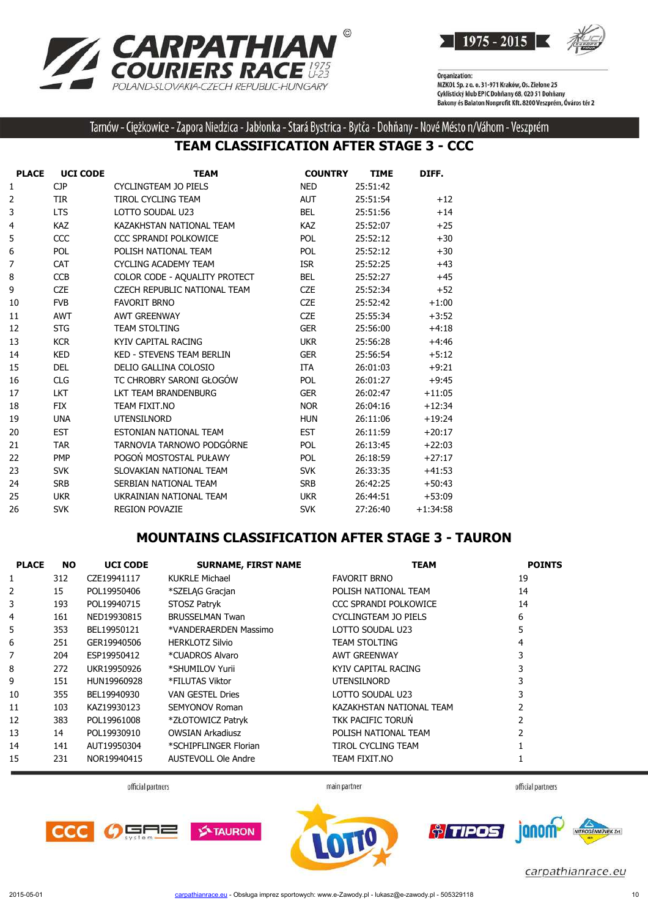



Tarnów - Ciężkowice - Zapora Niedzica - Jabłonka - Stará Bystrica - Bytča - Dohňany - Nové Mésto n/Váhom - Veszprém

## **TEAM CLASSIFICATION AFTER STAGE 3 - CCC**

| <b>PLACE</b> | <b>UCI CODE</b> | <b>TEAM</b>                         | <b>COUNTRY</b> | <b>TIME</b> | DIFF.      |
|--------------|-----------------|-------------------------------------|----------------|-------------|------------|
| 1            | <b>CJP</b>      | CYCLINGTEAM JO PIELS                | <b>NED</b>     | 25:51:42    |            |
| 2            | <b>TIR</b>      | <b>TIROL CYCLING TEAM</b>           | <b>AUT</b>     | 25:51:54    | $+12$      |
| 3            | <b>LTS</b>      | LOTTO SOUDAL U23                    | <b>BEL</b>     | 25:51:56    | $+14$      |
| 4            | <b>KAZ</b>      | KAZAKHSTAN NATIONAL TEAM            | <b>KAZ</b>     | 25:52:07    | $+25$      |
| 5            | CCC             | CCC SPRANDI POLKOWICE               | <b>POL</b>     | 25:52:12    | $+30$      |
| 6            | <b>POL</b>      | POLISH NATIONAL TEAM                | <b>POL</b>     | 25:52:12    | $+30$      |
| 7            | <b>CAT</b>      | <b>CYCLING ACADEMY TEAM</b>         | <b>ISR</b>     | 25:52:25    | $+43$      |
| 8            | <b>CCB</b>      | COLOR CODE - AQUALITY PROTECT       | <b>BEL</b>     | 25:52:27    | $+45$      |
| 9            | <b>CZE</b>      | <b>CZECH REPUBLIC NATIONAL TEAM</b> | <b>CZE</b>     | 25:52:34    | $+52$      |
| 10           | <b>FVB</b>      | <b>FAVORIT BRNO</b>                 | <b>CZE</b>     | 25:52:42    | $+1:00$    |
| 11           | <b>AWT</b>      | <b>AWT GREENWAY</b>                 | <b>CZE</b>     | 25:55:34    | $+3:52$    |
| 12           | <b>STG</b>      | <b>TEAM STOLTING</b>                | <b>GER</b>     | 25:56:00    | $+4:18$    |
| 13           | <b>KCR</b>      | KYIV CAPITAL RACING                 | <b>UKR</b>     | 25:56:28    | $+4:46$    |
| 14           | <b>KED</b>      | <b>KED - STEVENS TEAM BERLIN</b>    | <b>GER</b>     | 25:56:54    | $+5:12$    |
| 15           | <b>DEL</b>      | DELIO GALLINA COLOSIO               | <b>ITA</b>     | 26:01:03    | $+9:21$    |
| 16           | <b>CLG</b>      | TC CHROBRY SARONI GŁOGÓW            | POL            | 26:01:27    | $+9:45$    |
| 17           | <b>LKT</b>      | LKT TEAM BRANDENBURG                | <b>GER</b>     | 26:02:47    | $+11:05$   |
| 18           | <b>FIX</b>      | TEAM FIXIT.NO                       | <b>NOR</b>     | 26:04:16    | $+12:34$   |
| 19           | <b>UNA</b>      | <b>UTENSILNORD</b>                  | <b>HUN</b>     | 26:11:06    | $+19:24$   |
| 20           | <b>EST</b>      | ESTONIAN NATIONAL TEAM              | <b>EST</b>     | 26:11:59    | $+20:17$   |
| 21           | <b>TAR</b>      | TARNOVIA TARNOWO PODGÓRNE           | <b>POL</b>     | 26:13:45    | $+22:03$   |
| 22           | <b>PMP</b>      | POGOŃ MOSTOSTAL PUŁAWY              | <b>POL</b>     | 26:18:59    | $+27:17$   |
| 23           | <b>SVK</b>      | SLOVAKIAN NATIONAL TEAM             | <b>SVK</b>     | 26:33:35    | $+41:53$   |
| 24           | <b>SRB</b>      | SERBIAN NATIONAL TEAM               | <b>SRB</b>     | 26:42:25    | $+50:43$   |
| 25           | <b>UKR</b>      | UKRAINIAN NATIONAL TEAM             | <b>UKR</b>     | 26:44:51    | $+53:09$   |
| 26           | <b>SVK</b>      | <b>REGION POVAZIE</b>               | <b>SVK</b>     | 27:26:40    | $+1:34:58$ |

#### **MOUNTAINS CLASSIFICATION AFTER STAGE 3 - TAURON**

| <b>PLACE</b> | NO. | <b>UCI CODE</b> | <b>SURNAME, FIRST NAME</b> | <b>TEAM</b>              | <b>POINTS</b> |
|--------------|-----|-----------------|----------------------------|--------------------------|---------------|
| 1            | 312 | CZE19941117     | KUKRLE Michael             | <b>FAVORIT BRNO</b>      | 19            |
| 2            | 15  | POL19950406     | *SZELAG Gracjan            | POLISH NATIONAL TEAM     | 14            |
| 3            | 193 | POL19940715     | <b>STOSZ Patryk</b>        | CCC SPRANDI POLKOWICE    | 14            |
| 4            | 161 | NED19930815     | <b>BRUSSELMAN Twan</b>     | CYCLINGTEAM JO PIELS     | 6             |
| 5            | 353 | BEL19950121     | *VANDERAERDEN Massimo      | LOTTO SOUDAL U23         | 5             |
| 6            | 251 | GER19940506     | <b>HERKLOTZ Silvio</b>     | <b>TEAM STOLTING</b>     | 4             |
| 7            | 204 | ESP19950412     | *CUADROS Alvaro            | <b>AWT GREENWAY</b>      |               |
| 8            | 272 | UKR19950926     | *SHUMILOV Yurii            | KYIV CAPITAL RACING      |               |
| 9            | 151 | HUN19960928     | *FILUTAS Viktor            | <b>UTENSILNORD</b>       |               |
| 10           | 355 | BEL19940930     | <b>VAN GESTEL Dries</b>    | LOTTO SOUDAL U23         |               |
| 11           | 103 | KAZ19930123     | SEMYONOV Roman             | KAZAKHSTAN NATIONAL TEAM |               |
| 12           | 383 | POL19961008     | *ZŁOTOWICZ Patryk          | TKK PACIFIC TORUN        |               |
| 13           | 14  | POL19930910     | <b>OWSIAN Arkadiusz</b>    | POLISH NATIONAL TEAM     |               |
| 14           | 141 | AUT19950304     | *SCHIPFLINGER Florian      | TIROL CYCLING TEAM       |               |
| 15           | 231 | NOR19940415     | AUSTEVOLL Ole Andre        | TEAM FIXIT.NO            |               |

official partners

main partner

official partners





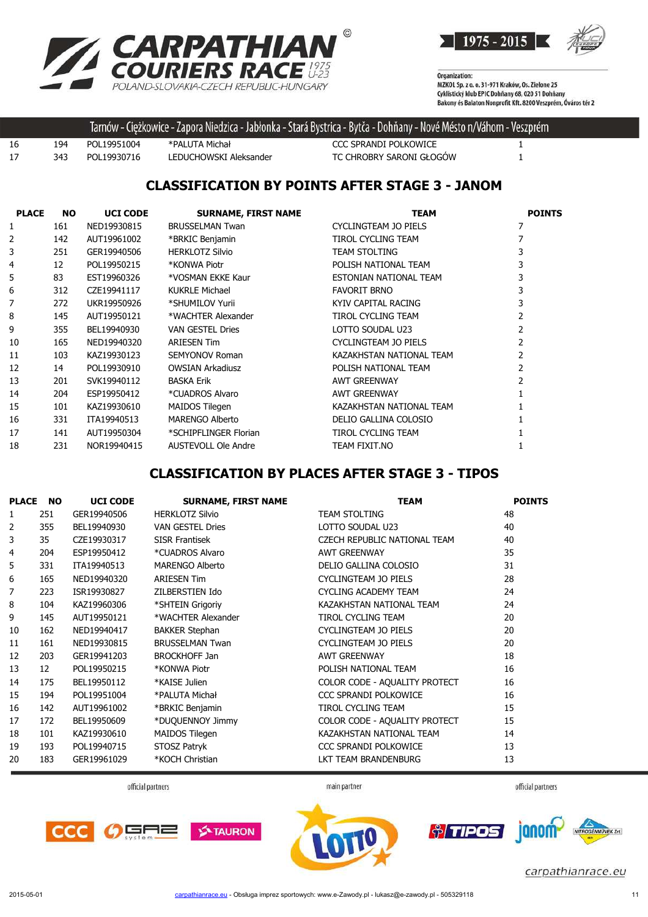



|    |     |             |                        | . Tarnów - Ciężkowice - Zapora Niedzica - Jabłonka - Stará Bystrica - Bytča - Dohňany - Nové Mésto n/Váhom - Veszprém ' |  |
|----|-----|-------------|------------------------|-------------------------------------------------------------------------------------------------------------------------|--|
| 16 | 194 | POL19951004 | *PALUTA Michał         | CCC SPRANDI POLKOWICE                                                                                                   |  |
| 17 | 343 | POL19930716 | LEDUCHOWSKI Aleksander | TC CHROBRY SARONI GŁOGÓW                                                                                                |  |

### **CLASSIFICATION BY POINTS AFTER STAGE 3 - JANOM**

| <b>PLACE</b> | <b>NO</b> | <b>UCI CODE</b> | <b>SURNAME, FIRST NAME</b> | <b>TEAM</b>              | <b>POINTS</b> |
|--------------|-----------|-----------------|----------------------------|--------------------------|---------------|
| 1            | 161       | NED19930815     | <b>BRUSSELMAN Twan</b>     | CYCLINGTEAM JO PIELS     |               |
| 2            | 142       | AUT19961002     | *BRKIC Benjamin            | TIROL CYCLING TEAM       |               |
| 3            | 251       | GER19940506     | <b>HERKLOTZ Silvio</b>     | <b>TEAM STOLTING</b>     | 3             |
| 4            | 12        | POL19950215     | *KONWA Piotr               | POLISH NATIONAL TEAM     | 3             |
| 5            | 83        | EST19960326     | *VOSMAN EKKE Kaur          | ESTONIAN NATIONAL TEAM   | 3             |
| 6            | 312       | CZE19941117     | <b>KUKRLE Michael</b>      | <b>FAVORIT BRNO</b>      |               |
| 7            | 272       | UKR19950926     | *SHUMILOV Yurii            | KYIV CAPITAL RACING      |               |
| 8            | 145       | AUT19950121     | *WACHTER Alexander         | TIROL CYCLING TEAM       |               |
| 9            | 355       | BEL19940930     | <b>VAN GESTEL Dries</b>    | LOTTO SOUDAL U23         |               |
| 10           | 165       | NED19940320     | <b>ARIESEN Tim</b>         | CYCLINGTEAM JO PIELS     |               |
| 11           | 103       | KAZ19930123     | SEMYONOV Roman             | KAZAKHSTAN NATIONAL TEAM |               |
| 12           | 14        | POL19930910     | <b>OWSIAN Arkadiusz</b>    | POLISH NATIONAL TEAM     |               |
| 13           | 201       | SVK19940112     | <b>BASKA Erik</b>          | <b>AWT GREENWAY</b>      |               |
| 14           | 204       | ESP19950412     | *CUADROS Alvaro            | <b>AWT GREENWAY</b>      |               |
| 15           | 101       | KAZ19930610     | <b>MAIDOS Tilegen</b>      | KAZAKHSTAN NATIONAL TEAM |               |
| 16           | 331       | ITA19940513     | <b>MARENGO Alberto</b>     | DELIO GALLINA COLOSIO    |               |
| 17           | 141       | AUT19950304     | *SCHIPFLINGER Florian      | TIROL CYCLING TEAM       |               |
| 18           | 231       | NOR19940415     | <b>AUSTEVOLL Ole Andre</b> | TEAM FIXIT.NO            |               |

## **CLASSIFICATION BY PLACES AFTER STAGE 3 - TIPOS**

| <b>PLACE</b> | <b>NO</b> | <b>UCI CODE</b> | <b>SURNAME, FIRST NAME</b> | <b>TEAM</b>                   | <b>POINTS</b> |
|--------------|-----------|-----------------|----------------------------|-------------------------------|---------------|
|              | 251       | GER19940506     | <b>HERKLOTZ Silvio</b>     | <b>TEAM STOLTING</b>          | 48            |
| 2            | 355       | BEL19940930     | <b>VAN GESTEL Dries</b>    | LOTTO SOUDAL U23              | 40            |
| 3            | 35        | CZE19930317     | <b>SISR Frantisek</b>      | CZECH REPUBLIC NATIONAL TEAM  | 40            |
| 4            | 204       | ESP19950412     | *CUADROS Alvaro            | <b>AWT GREENWAY</b>           | 35            |
| 5            | 331       | ITA19940513     | <b>MARENGO Alberto</b>     | DELIO GALLINA COLOSIO         | 31            |
| 6            | 165       | NED19940320     | <b>ARIESEN Tim</b>         | CYCLINGTEAM JO PIELS          | 28            |
| 7            | 223       | ISR19930827     | ZILBERSTIEN Ido            | <b>CYCLING ACADEMY TEAM</b>   | 24            |
| 8            | 104       | KAZ19960306     | *SHTEIN Grigoriy           | KAZAKHSTAN NATIONAL TEAM      | 24            |
| 9            | 145       | AUT19950121     | *WACHTER Alexander         | <b>TIROL CYCLING TEAM</b>     | 20            |
| 10           | 162       | NED19940417     | <b>BAKKER Stephan</b>      | CYCLINGTEAM JO PIELS          | 20            |
| 11           | 161       | NED19930815     | <b>BRUSSELMAN Twan</b>     | CYCLINGTEAM JO PIELS          | 20            |
| 12           | 203       | GER19941203     | <b>BROCKHOFF Jan</b>       | <b>AWT GREENWAY</b>           | 18            |
| 13           | 12        | POL19950215     | *KONWA Piotr               | POLISH NATIONAL TEAM          | 16            |
| 14           | 175       | BEL19950112     | *KAISE Julien              | COLOR CODE - AQUALITY PROTECT | 16            |
| 15           | 194       | POL19951004     | *PALUTA Michał             | CCC SPRANDI POLKOWICE         | 16            |
| 16           | 142       | AUT19961002     | *BRKIC Benjamin            | <b>TIROL CYCLING TEAM</b>     | 15            |
| 17           | 172       | BEL19950609     | *DUQUENNOY Jimmy           | COLOR CODE - AQUALITY PROTECT | 15            |
| 18           | 101       | KAZ19930610     | MAIDOS Tilegen             | KAZAKHSTAN NATIONAL TEAM      | 14            |
| 19           | 193       | POL19940715     | STOSZ Patryk               | CCC SPRANDI POLKOWICE         | 13            |
| 20           | 183       | GER19961029     | *KOCH Christian            | LKT TEAM BRANDENBURG          | 13            |



main partner







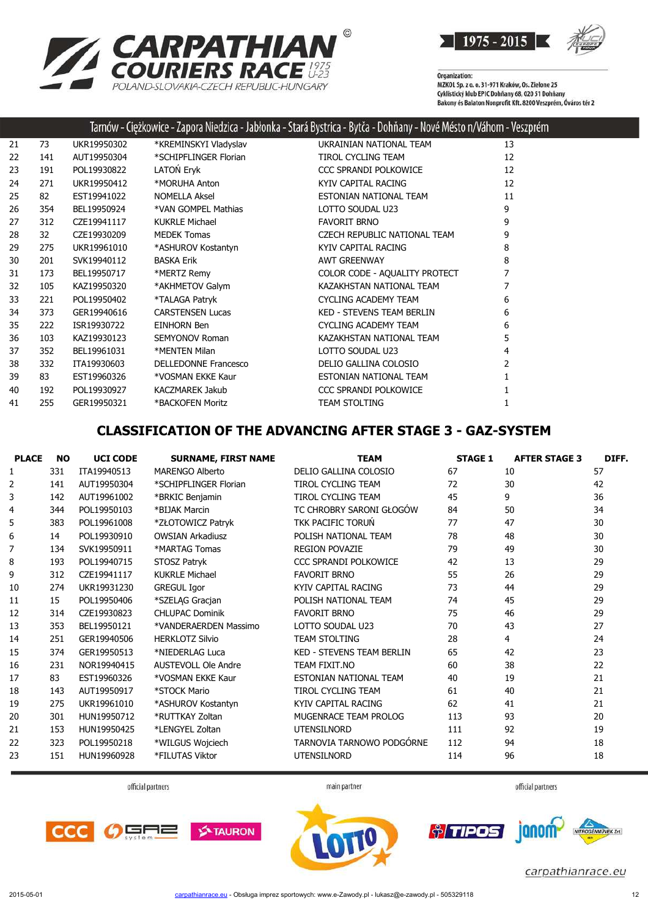



|    |     |             |                             | Tarnów - Ciężkowice - Zapora Niedzica - Jabłonka - Stará Bystrica - Bytča - Dohňany - Nové Mésto n/Váhom - Veszprém |    |
|----|-----|-------------|-----------------------------|---------------------------------------------------------------------------------------------------------------------|----|
| 21 | 73  | UKR19950302 | *KREMINSKYI Vladyslav       | UKRAINIAN NATIONAL TEAM                                                                                             | 13 |
| 22 | 141 | AUT19950304 | *SCHIPFLINGER Florian       | TIROL CYCLING TEAM                                                                                                  | 12 |
| 23 | 191 | POL19930822 | LATON Eryk                  | CCC SPRANDI POLKOWICE                                                                                               | 12 |
| 24 | 271 | UKR19950412 | *MORUHA Anton               | KYIV CAPITAL RACING                                                                                                 | 12 |
| 25 | 82  | EST19941022 | <b>NOMELLA Aksel</b>        | ESTONIAN NATIONAL TEAM                                                                                              | 11 |
| 26 | 354 | BEL19950924 | *VAN GOMPEL Mathias         | LOTTO SOUDAL U23                                                                                                    | 9  |
| 27 | 312 | CZE19941117 | <b>KUKRLE Michael</b>       | <b>FAVORIT BRNO</b>                                                                                                 | 9  |
| 28 | 32  | CZE19930209 | <b>MEDEK Tomas</b>          | CZECH REPUBLIC NATIONAL TEAM                                                                                        | 9  |
| 29 | 275 | UKR19961010 | *ASHUROV Kostantyn          | KYIV CAPITAL RACING                                                                                                 | 8  |
| 30 | 201 | SVK19940112 | <b>BASKA Erik</b>           | <b>AWT GREENWAY</b>                                                                                                 | 8  |
| 31 | 173 | BEL19950717 | *MERTZ Remy                 | COLOR CODE - AQUALITY PROTECT                                                                                       | 7  |
| 32 | 105 | KAZ19950320 | *AKHMETOV Galym             | KAZAKHSTAN NATIONAL TEAM                                                                                            |    |
| 33 | 221 | POL19950402 | *TALAGA Patryk              | <b>CYCLING ACADEMY TEAM</b>                                                                                         | 6  |
| 34 | 373 | GER19940616 | <b>CARSTENSEN Lucas</b>     | <b>KED - STEVENS TEAM BERLIN</b>                                                                                    | 6  |
| 35 | 222 | ISR19930722 | EINHORN Ben                 | <b>CYCLING ACADEMY TEAM</b>                                                                                         | 6  |
| 36 | 103 | KAZ19930123 | <b>SEMYONOV Roman</b>       | KAZAKHSTAN NATIONAL TEAM                                                                                            | 5  |
| 37 | 352 | BEL19961031 | *MENTEN Milan               | LOTTO SOUDAL U23                                                                                                    | 4  |
| 38 | 332 | ITA19930603 | <b>DELLEDONNE Francesco</b> | DELIO GALLINA COLOSIO                                                                                               | 2  |
| 39 | 83  | EST19960326 | *VOSMAN EKKE Kaur           | ESTONIAN NATIONAL TEAM                                                                                              |    |
| 40 | 192 | POL19930927 | <b>KACZMAREK Jakub</b>      | CCC SPRANDI POLKOWICE                                                                                               |    |
| 41 | 255 | GER19950321 | *BACKOFEN Moritz            | <b>TEAM STOLTING</b>                                                                                                |    |

## **CLASSIFICATION OF THE ADVANCING AFTER STAGE 3 - GAZ-SYSTEM**

| <b>PLACE</b>   | <b>NO</b> | <b>UCI CODE</b> | <b>SURNAME, FIRST NAME</b> | <b>TEAM</b>                      | <b>STAGE 1</b> | <b>AFTER STAGE 3</b> | DIFF. |
|----------------|-----------|-----------------|----------------------------|----------------------------------|----------------|----------------------|-------|
| 1              | 331       | ITA19940513     | MARFNGO Alberto            | DELIO GALLINA COLOSIO            | 67             | 10                   | 57    |
| 2              | 141       | AUT19950304     | *SCHIPFLINGER Florian      | <b>TIROL CYCLING TEAM</b>        | 72             | 30                   | 42    |
| 3              | 142       | AUT19961002     | *BRKIC Benjamin            | <b>TIROL CYCLING TEAM</b>        | 45             | 9                    | 36    |
| 4              | 344       | POL19950103     | *BIJAK Marcin              | TC CHROBRY SARONI GŁOGÓW         | 84             | 50                   | 34    |
| 5              | 383       | POL19961008     | *ZŁOTOWICZ Patryk          | TKK PACIFIC TORUŃ                | 77             | 47                   | 30    |
| 6              | 14        | POL19930910     | <b>OWSIAN Arkadiusz</b>    | POLISH NATIONAL TEAM             | 78             | 48                   | 30    |
| $\overline{7}$ | 134       | SVK19950911     | *MARTAG Tomas              | <b>REGION POVAZIE</b>            | 79             | 49                   | 30    |
| 8              | 193       | POL19940715     | STOSZ Patryk               | <b>CCC SPRANDI POLKOWICE</b>     | 42             | 13                   | 29    |
| 9              | 312       | CZE19941117     | <b>KUKRLE Michael</b>      | <b>FAVORIT BRNO</b>              | 55             | 26                   | 29    |
| 10             | 274       | UKR19931230     | <b>GREGUL Igor</b>         | KYIV CAPITAL RACING              | 73             | 44                   | 29    |
| 11             | 15        | POL19950406     | *SZELAG Gracjan            | POLISH NATIONAL TEAM             | 74             | 45                   | 29    |
| 12             | 314       | CZE19930823     | <b>CHLUPAC Dominik</b>     | <b>FAVORIT BRNO</b>              | 75             | 46                   | 29    |
| 13             | 353       | BEL19950121     | *VANDERAERDEN Massimo      | LOTTO SOUDAL U23                 | 70             | 43                   | 27    |
| 14             | 251       | GER19940506     | <b>HERKLOTZ Silvio</b>     | <b>TEAM STOLTING</b>             | 28             | 4                    | 24    |
| 15             | 374       | GER19950513     | *NIEDERLAG Luca            | <b>KED - STEVENS TEAM BERLIN</b> | 65             | 42                   | 23    |
| 16             | 231       | NOR19940415     | <b>AUSTEVOLL Ole Andre</b> | TEAM FIXIT.NO                    | 60             | 38                   | 22    |
| 17             | 83        | EST19960326     | *VOSMAN EKKE Kaur          | ESTONIAN NATIONAL TEAM           | 40             | 19                   | 21    |
| 18             | 143       | AUT19950917     | *STOCK Mario               | <b>TIROL CYCLING TEAM</b>        | 61             | 40                   | 21    |
| 19             | 275       | UKR19961010     | *ASHUROV Kostantyn         | KYIV CAPITAL RACING              | 62             | 41                   | 21    |
| 20             | 301       | HUN19950712     | *RUTTKAY Zoltan            | MUGENRACE TEAM PROLOG            | 113            | 93                   | 20    |
| 21             | 153       | HUN19950425     | *LENGYEL Zoltan            | <b>UTENSILNORD</b>               | 111            | 92                   | 19    |
| 22             | 323       | POL19950218     | *WILGUS Wojciech           | TARNOVIA TARNOWO PODGÓRNE        | 112            | 94                   | 18    |
| 23             | 151       | HUN19960928     | *FILUTAS Viktor            | <b>UTENSILNORD</b>               | 114            | 96                   | 18    |

official partners

main partner

official partners







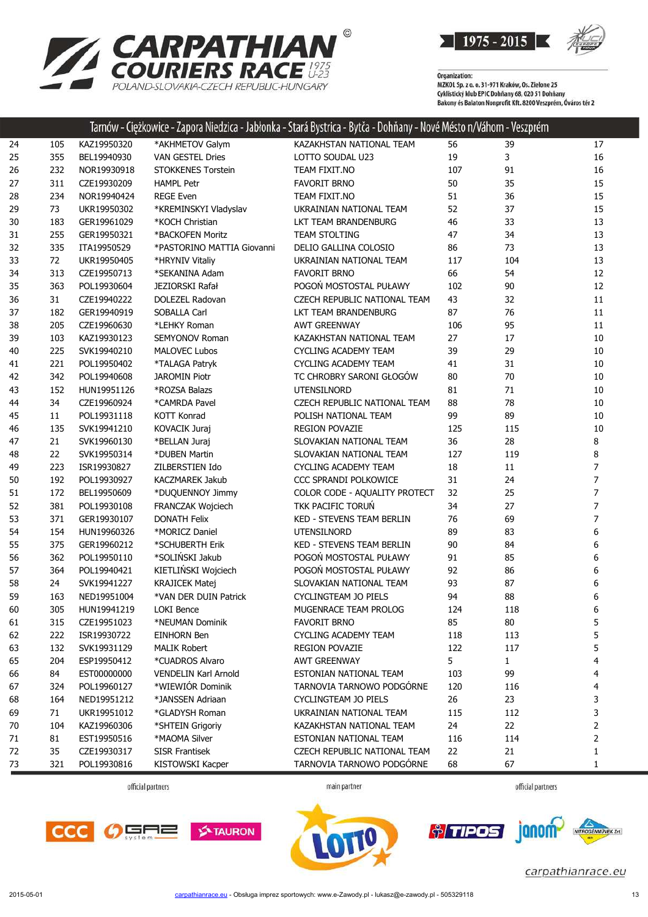



|    |     |             |                             | Tarnow - Ciężkowice - Zapora Niedzica - Jabłonka - Stara Bystrica - Bytca - Dohnany - Nove Mesto n/Vahom - Veszprem |     |              |                |
|----|-----|-------------|-----------------------------|---------------------------------------------------------------------------------------------------------------------|-----|--------------|----------------|
| 24 | 105 | KAZ19950320 | *AKHMETOV Galym             | KAZAKHSTAN NATIONAL TEAM                                                                                            | 56  | 39           | 17             |
| 25 | 355 | BEL19940930 | <b>VAN GESTEL Dries</b>     | LOTTO SOUDAL U23                                                                                                    | 19  | 3            | 16             |
| 26 | 232 | NOR19930918 | <b>STOKKENES Torstein</b>   | TEAM FIXIT.NO                                                                                                       | 107 | 91           | 16             |
| 27 | 311 | CZE19930209 | <b>HAMPL Petr</b>           | <b>FAVORIT BRNO</b>                                                                                                 | 50  | 35           | 15             |
| 28 | 234 | NOR19940424 | <b>REGE Even</b>            | TEAM FIXIT.NO                                                                                                       | 51  | 36           | 15             |
| 29 | 73  | UKR19950302 | *KREMINSKYI Vladyslav       | UKRAINIAN NATIONAL TEAM                                                                                             | 52  | 37           | 15             |
| 30 | 183 | GER19961029 | *KOCH Christian             | LKT TEAM BRANDENBURG                                                                                                | 46  | 33           | 13             |
| 31 | 255 | GER19950321 | *BACKOFEN Moritz            | <b>TEAM STOLTING</b>                                                                                                | 47  | 34           | 13             |
| 32 | 335 | ITA19950529 | *PASTORINO MATTIA Giovanni  | DELIO GALLINA COLOSIO                                                                                               | 86  | 73           | 13             |
| 33 | 72  | UKR19950405 | *HRYNIV Vitaliy             | UKRAINIAN NATIONAL TEAM                                                                                             | 117 | 104          | 13             |
| 34 | 313 | CZE19950713 | *SEKANINA Adam              | <b>FAVORIT BRNO</b>                                                                                                 | 66  | 54           | 12             |
| 35 | 363 | POL19930604 | JEZIORSKI Rafał             | POGOŃ MOSTOSTAL PUŁAWY                                                                                              | 102 | 90           | 12             |
| 36 | 31  | CZE19940222 | DOLEZEL Radovan             | CZECH REPUBLIC NATIONAL TEAM                                                                                        | 43  | 32           | 11             |
| 37 | 182 | GER19940919 | SOBALLA Carl                | LKT TEAM BRANDENBURG                                                                                                | 87  | 76           | 11             |
| 38 | 205 | CZE19960630 | *LEHKY Roman                | <b>AWT GREENWAY</b>                                                                                                 | 106 | 95           | 11             |
| 39 | 103 | KAZ19930123 | SEMYONOV Roman              | KAZAKHSTAN NATIONAL TEAM                                                                                            | 27  | 17           | 10             |
| 40 | 225 | SVK19940210 | <b>MALOVEC Lubos</b>        | <b>CYCLING ACADEMY TEAM</b>                                                                                         | 39  | 29           | 10             |
| 41 | 221 | POL19950402 | *TALAGA Patryk              | <b>CYCLING ACADEMY TEAM</b>                                                                                         | 41  | 31           | 10             |
| 42 | 342 | POL19940608 | <b>JAROMIN Piotr</b>        | TC CHROBRY SARONI GŁOGÓW                                                                                            | 80  | 70           | 10             |
| 43 | 152 | HUN19951126 | *ROZSA Balazs               | UTENSILNORD                                                                                                         | 81  | 71           | 10             |
| 44 | 34  | CZE19960924 | *CAMRDA Pavel               | CZECH REPUBLIC NATIONAL TEAM                                                                                        | 88  | 78           | 10             |
| 45 | 11  | POL19931118 | <b>KOTT Konrad</b>          | POLISH NATIONAL TEAM                                                                                                | 99  | 89           | 10             |
| 46 | 135 | SVK19941210 | KOVACIK Juraj               | <b>REGION POVAZIE</b>                                                                                               | 125 | 115          | 10             |
| 47 | 21  | SVK19960130 | *BELLAN Juraj               | SLOVAKIAN NATIONAL TEAM                                                                                             | 36  | 28           | 8              |
| 48 | 22  | SVK19950314 | *DUBEN Martin               | SLOVAKIAN NATIONAL TEAM                                                                                             | 127 | 119          | 8              |
| 49 | 223 | ISR19930827 | ZILBERSTIEN Ido             | <b>CYCLING ACADEMY TEAM</b>                                                                                         | 18  | $11\,$       | 7              |
| 50 | 192 | POL19930927 | KACZMAREK Jakub             | CCC SPRANDI POLKOWICE                                                                                               | 31  | 24           | 7              |
| 51 | 172 | BEL19950609 | *DUQUENNOY Jimmy            | COLOR CODE - AQUALITY PROTECT                                                                                       | 32  | 25           | $\overline{7}$ |
| 52 | 381 | POL19930108 | FRANCZAK Wojciech           | TKK PACIFIC TORUŃ                                                                                                   | 34  | 27           | 7              |
| 53 | 371 | GER19930107 | <b>DONATH Felix</b>         | KED - STEVENS TEAM BERLIN                                                                                           | 76  | 69           | 7              |
| 54 | 154 | HUN19960326 | *MORICZ Daniel              | UTENSILNORD                                                                                                         | 89  | 83           | 6              |
| 55 | 375 | GER19960212 | *SCHUBERTH Erik             | KED - STEVENS TEAM BERLIN                                                                                           | 90  | 84           | 6              |
| 56 | 362 | POL19950110 | *SOLIŃSKI Jakub             | POGOŃ MOSTOSTAL PUŁAWY                                                                                              | 91  | 85           | 6              |
| 57 | 364 | POL19940421 | KIETLIŃSKI Wojciech         | POGOŃ MOSTOSTAL PUŁAWY                                                                                              | 92  | 86           | 6              |
| 58 | 24  | SVK19941227 | <b>KRAJICEK Matej</b>       | SLOVAKIAN NATIONAL TEAM                                                                                             | 93  | 87           | 6              |
| 59 | 163 | NED19951004 | *VAN DER DUIN Patrick       | CYCLINGTEAM JO PIELS                                                                                                | 94  | 88           | 6              |
| 60 | 305 | HUN19941219 | LOKI Bence                  | MUGENRACE TEAM PROLOG                                                                                               | 124 | 118          | 6              |
| 61 | 315 | CZE19951023 | *NEUMAN Dominik             | <b>FAVORIT BRNO</b>                                                                                                 | 85  | 80           | 5              |
| 62 | 222 | ISR19930722 | <b>EINHORN Ben</b>          | CYCLING ACADEMY TEAM                                                                                                | 118 | 113          | 5              |
| 63 | 132 | SVK19931129 | <b>MALIK Robert</b>         | <b>REGION POVAZIE</b>                                                                                               | 122 | 117          | 5              |
| 65 | 204 | ESP19950412 | *CUADROS Alvaro             | <b>AWT GREENWAY</b>                                                                                                 | 5   | $\mathbf{1}$ | 4              |
| 66 | 84  | EST00000000 | <b>VENDELIN Karl Arnold</b> | ESTONIAN NATIONAL TEAM                                                                                              | 103 | 99           | 4              |
| 67 | 324 | POL19960127 | *WIEWIÓR Dominik            | TARNOVIA TARNOWO PODGÓRNE                                                                                           | 120 | 116          | 4              |
| 68 | 164 | NED19951212 | *JANSSEN Adriaan            | CYCLINGTEAM JO PIELS                                                                                                | 26  | 23           | 3              |
| 69 | 71  | UKR19951012 | *GLADYSH Roman              | UKRAINIAN NATIONAL TEAM                                                                                             | 115 | 112          | 3              |
| 70 | 104 | KAZ19960306 | *SHTEIN Grigoriy            | KAZAKHSTAN NATIONAL TEAM                                                                                            | 24  | 22           | 2              |
| 71 | 81  | EST19950516 | *MAOMA Silver               | ESTONIAN NATIONAL TEAM                                                                                              | 116 | 114          | 2              |
| 72 | 35  | CZE19930317 | SISR Frantisek              | CZECH REPUBLIC NATIONAL TEAM                                                                                        | 22  | 21           | 1              |
| 73 | 321 | POL19930816 | KISTOWSKI Kacper            | TARNOVIA TARNOWO PODGÓRNE                                                                                           | 68  | 67           | 1              |

official partners

main partner









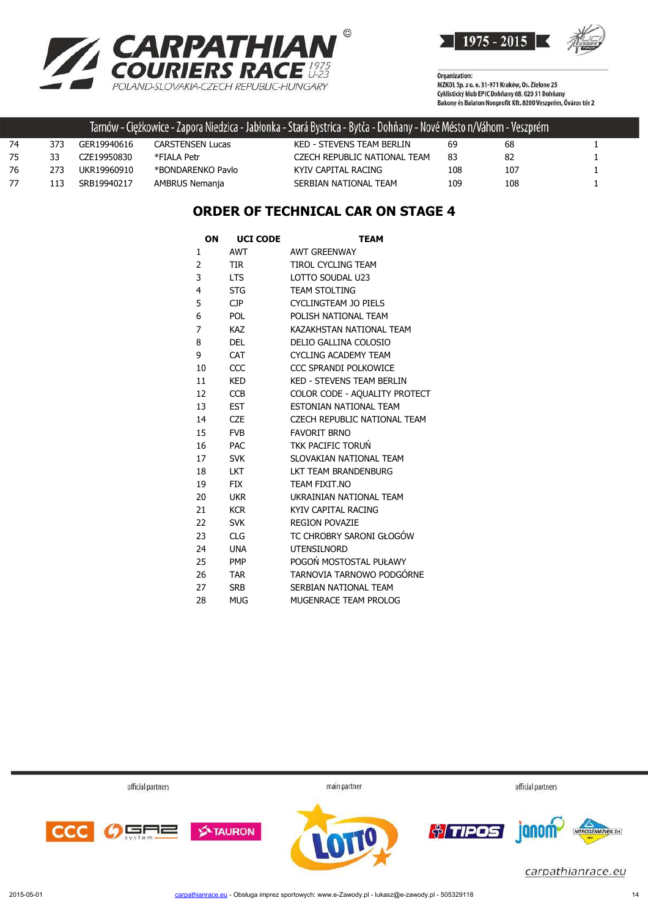



Organization:<br>MZKOL Sp. z o. o. 31-971 Kraków, Os. Zielone 25 Cyklistický klub EPIC Dohňany 68, 020 51 Dohňany<br>Cyklistický klub EPIC Dohňany 68, 020 51 Dohňany<br>Bakony és Balaton Nonprofit Kft. 8200 Veszprém, Óváros tér 2

|    |     |             |                   | Tarnów - Ciężkowice - Zapora Niedzica - Jabłonka - Stará Bystrica - Bytča - Dohňany - Nové Mésto n/Váhom - Veszprém ' |     |     |  |
|----|-----|-------------|-------------------|-----------------------------------------------------------------------------------------------------------------------|-----|-----|--|
| 74 | 373 | GER19940616 | CARSTENSEN Lucas  | KED - STEVENS TEAM BERLIN                                                                                             | 69  | 68  |  |
| 75 | 33  | CZE19950830 | *FIAI A Petr      | CZECH REPUBLIC NATIONAL TEAM                                                                                          | 83  | 82  |  |
| 76 | 273 | UKR19960910 | *BONDARENKO Pavlo | KYIV CAPITAL RACING                                                                                                   | 108 | 107 |  |
| 77 | 113 | SRB19940217 | AMBRUS Nemanja    | SERBIAN NATIONAL TEAM                                                                                                 | 109 | 108 |  |

### **ORDER OF TECHNICAL CAR ON STAGE 4**

| ΟN | <b>UCI CODE</b> | TEAM                             |
|----|-----------------|----------------------------------|
| 1  | <b>AWT</b>      | <b>AWT GREENWAY</b>              |
| 2  | <b>TIR</b>      | <b>TIROL CYCLING TEAM</b>        |
| 3  | LTS.            | LOTTO SOUDAL U23                 |
| 4  | <b>STG</b>      | <b>TEAM STOLTING</b>             |
| 5  | CP              | <b>CYCLINGTEAM JO PIELS</b>      |
| 6  | <b>POL</b>      | POLISH NATIONAL TEAM             |
| 7  | <b>KAZ</b>      | KAZAKHSTAN NATIONAI TFAM         |
| 8  | <b>DEL</b>      | DELIO GALLINA COLOSIO            |
| 9  | CAT             | <b>CYCLING ACADEMY TEAM</b>      |
| 10 | CCC             | CCC SPRANDI POLKOWICE            |
| 11 | KED             | <b>KED - STEVENS TEAM BERLIN</b> |
| 12 | <b>CCB</b>      | COLOR CODE - AQUALITY PROTECT    |
| 13 | <b>EST</b>      | ESTONIAN NATIONAL TEAM           |
| 14 | <b>CZE</b>      | CZECH REPUBLIC NATIONAL TEAM     |
| 15 | <b>FVB</b>      | <b>FAVORIT BRNO</b>              |
| 16 | <b>PAC</b>      | <b>TKK PACIFIC TORUN</b>         |
| 17 | <b>SVK</b>      | SLOVAKIAN NATIONAL TEAM          |
| 18 | <b>LKT</b>      | LKT TEAM BRANDENBURG             |
| 19 | <b>FIX</b>      | TEAM FIXIT.NO                    |
| 20 | <b>UKR</b>      | UKRAINIAN NATIONAL TEAM          |
| 21 | <b>KCR</b>      | KYIV CAPITAL RACING              |
| 22 | <b>SVK</b>      | <b>REGION POVAZIE</b>            |
| 23 | <b>CLG</b>      | TC CHROBRY SARONI GŁOGÓW         |
| 24 | <b>UNA</b>      | <b>UTENSILNORD</b>               |
| 25 | <b>PMP</b>      | POGOŃ MOSTOSTAL PUŁAWY           |
| 26 | <b>TAR</b>      | TARNOVIA TARNOWO PODGÓRNE        |
| 27 | <b>SRB</b>      | SERBIAN NATIONAL TEAM            |
| 28 | <b>MUG</b>      | MUGENRACE TEAM PROLOG            |
|    |                 |                                  |

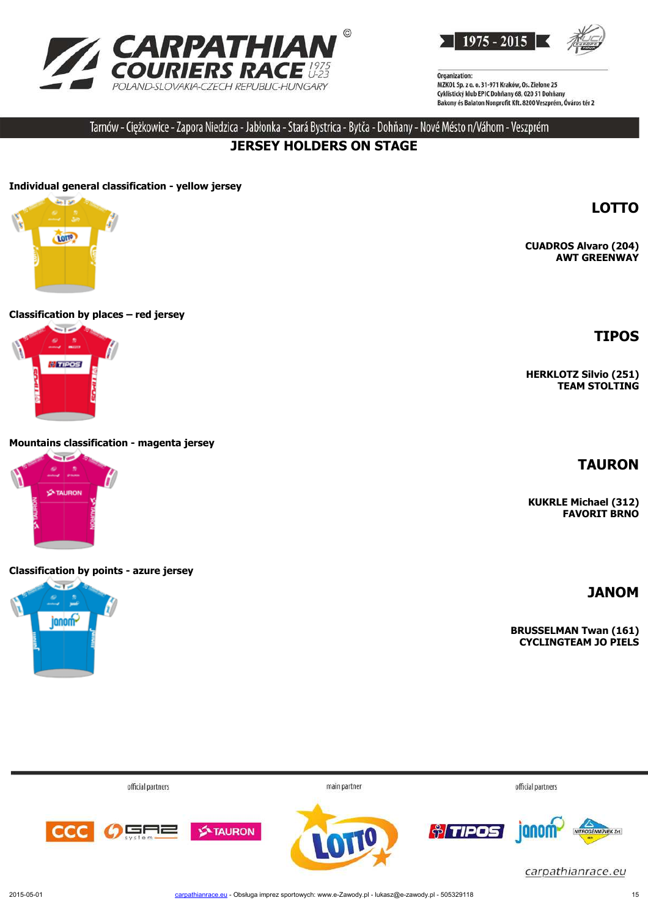



Tarnów - Ciężkowice - Zapora Niedzica - Jabłonka - Stará Bystrica - Bytča - Dohňany - Nové Mésto n/Váhom - Veszprém

## **JERSEY HOLDERS ON STAGE**

#### **Individual general classification - yellow jersey**



#### **Classification by places – red jersey**



#### **Mountains classification - magenta jersey**



#### **Classification by points - azure jersey**



**LOTTO**

**CUADROS Alvaro (204) AWT GREENWAY**

#### **TIPOS**

**HERKLOTZ Silvio (251) TEAM STOLTING**

#### **TAURON**

**KUKRLE Michael (312) FAVORIT BRNO**

**JANOM**

**BRUSSELMAN Twan (161) CYCLINGTEAM JO PIELS**